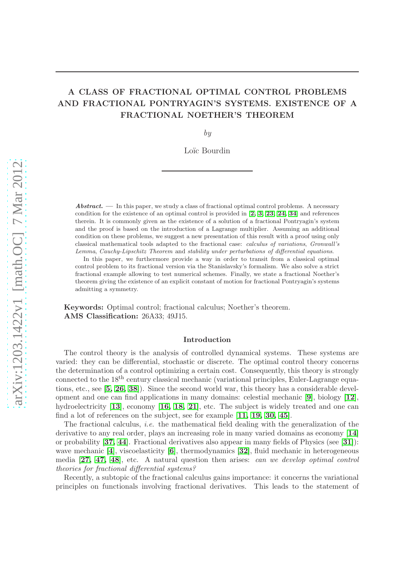# A CLASS OF FRACTIONAL OPTIMAL CONTROL PROBLEMS AND FRACTIONAL PONTRYAGIN'S SYSTEMS. EXISTENCE OF A FRACTIONAL NOETHER'S THEOREM

by

Loïc Bourdin

Abstract. — In this paper, we study a class of fractional optimal control problems. A necessary condition for the existence of an optimal control is provided in [[2,](#page-21-0) [3,](#page-21-1) [23,](#page-22-0) [24,](#page-22-1) [34](#page-22-2)] and references therein. It is commonly given as the existence of a solution of a fractional Pontryagin's system and the proof is based on the introduction of a Lagrange multiplier. Assuming an additional condition on these problems, we suggest a new presentation of this result with a proof using only classical mathematical tools adapted to the fractional case: calculus of variations, Gronwall's Lemma, Cauchy-Lipschitz Theorem and stability under perturbations of differential equations.

In this paper, we furthermore provide a way in order to transit from a classical optimal control problem to its fractional version via the Stanislavsky's formalism. We also solve a strict fractional example allowing to test numerical schemes. Finally, we state a fractional Noether's theorem giving the existence of an explicit constant of motion for fractional Pontryagin's systems admitting a symmetry.

Keywords: Optimal control; fractional calculus; Noether's theorem. AMS Classification: 26A33; 49J15.

## Introduction

The control theory is the analysis of controlled dynamical systems. These systems are varied: they can be differential, stochastic or discrete. The optimal control theory concerns the determination of a control optimizing a certain cost. Consequently, this theory is strongly connected to the 18<sup>th</sup> century classical mechanic (variational principles, Euler-Lagrange equations, etc., see  $[5, 26, 38]$  $[5, 26, 38]$  $[5, 26, 38]$  $[5, 26, 38]$  $[5, 26, 38]$ . Since the second world war, this theory has a considerable development and one can find applications in many domains: celestial mechanic [[9](#page-21-3)], biology [[12](#page-22-4)], hydroelectricity [[13](#page-22-5)], economy [[16,](#page-22-6) [18,](#page-22-7) [21](#page-22-8)], etc. The subject is widely treated and one can find a lot of references on the subject, see for example [[11,](#page-22-9) [19,](#page-22-10) [30,](#page-22-11) [45](#page-23-1)].

The fractional calculus, i.e. the mathematical field dealing with the generalization of the derivative to any real order, plays an increasing role in many varied domains as economy [[14](#page-22-12)] or probability  $[37, 44]$  $[37, 44]$  $[37, 44]$  $[37, 44]$ . Fractional derivatives also appear in many fields of Physics (see  $[31]$  $[31]$  $[31]$ ): wave mechanic  $[4]$  $[4]$  $[4]$ , viscoelasticity  $[6]$  $[6]$  $[6]$ , thermodynamics  $[32]$  $[32]$  $[32]$ , fluid mechanic in heterogeneous media [[27,](#page-22-15) [47,](#page-23-4) [48](#page-23-5)], etc. A natural question then arises: can we develop optimal control theories for fractional differential systems?

Recently, a subtopic of the fractional calculus gains importance: it concerns the variational principles on functionals involving fractional derivatives. This leads to the statement of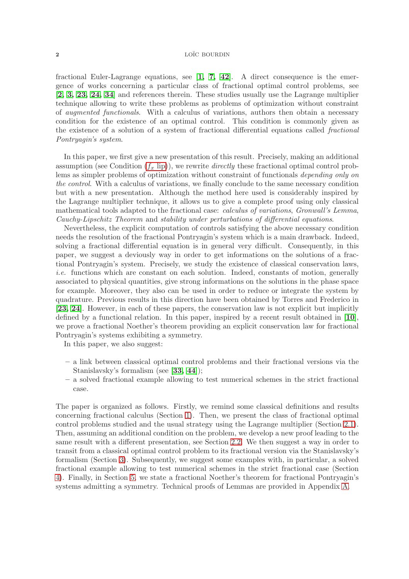fractional Euler-Lagrange equations, see  $\begin{bmatrix} 1, 7, 42 \end{bmatrix}$  $\begin{bmatrix} 1, 7, 42 \end{bmatrix}$  $\begin{bmatrix} 1, 7, 42 \end{bmatrix}$  $\begin{bmatrix} 1, 7, 42 \end{bmatrix}$  $\begin{bmatrix} 1, 7, 42 \end{bmatrix}$ . A direct consequence is the emergence of works concerning a particular class of fractional optimal control problems, see [[2,](#page-21-0) [3,](#page-21-1) [23,](#page-22-0) [24,](#page-22-1) [34](#page-22-2)] and references therein. These studies usually use the Lagrange multiplier technique allowing to write these problems as problems of optimization without constraint of augmented functionals. With a calculus of variations, authors then obtain a necessary condition for the existence of an optimal control. This condition is commonly given as the existence of a solution of a system of fractional differential equations called fractional Pontryagin's system.

In this paper, we first give a new presentation of this result. Precisely, making an additional assumption (see Condition  $(f_x \text{ lip})$ ), we rewrite *directly* these fractional optimal control problems as simpler problems of optimization without constraint of functionals depending only on the control. With a calculus of variations, we finally conclude to the same necessary condition but with a new presentation. Although the method here used is considerably inspired by the Lagrange multiplier technique, it allows us to give a complete proof using only classical mathematical tools adapted to the fractional case: calculus of variations, Gronwall's Lemma, Cauchy-Lipschitz Theorem and stability under perturbations of differential equations.

Nevertheless, the explicit computation of controls satisfying the above necessary condition needs the resolution of the fractional Pontryagin's system which is a main drawback. Indeed, solving a fractional differential equation is in general very difficult. Consequently, in this paper, we suggest a deviously way in order to get informations on the solutions of a fractional Pontryagin's system. Precisely, we study the existence of classical conservation laws, i.e. functions which are constant on each solution. Indeed, constants of motion, generally associated to physical quantities, give strong informations on the solutions in the phase space for example. Moreover, they also can be used in order to reduce or integrate the system by quadrature. Previous results in this direction have been obtained by Torres and Frederico in [[23,](#page-22-0) [24](#page-22-1)]. However, in each of these papers, the conservation law is not explicit but implicitly defined by a functional relation. In this paper, inspired by a recent result obtained in [[10](#page-21-8)], we prove a fractional Noether's theorem providing an explicit conservation law for fractional Pontryagin's systems exhibiting a symmetry.

In this paper, we also suggest:

- a link between classical optimal control problems and their fractional versions via the Stanislavsky's formalism (see [[33,](#page-22-16) [44](#page-23-3)]);
- a solved fractional example allowing to test numerical schemes in the strict fractional case.

The paper is organized as follows. Firstly, we remind some classical definitions and results concerning fractional calculus (Section [1\)](#page-2-0). Then, we present the class of fractional optimal control problems studied and the usual strategy using the Lagrange multiplier (Section [2.1\)](#page-5-0). Then, assuming an additional condition on the problem, we develop a new proof leading to the same result with a different presentation, see Section [2.2.](#page-6-1) We then suggest a way in order to transit from a classical optimal control problem to its fractional version via the Stanislavsky's formalism (Section [3\)](#page-10-0). Subsequently, we suggest some examples with, in particular, a solved fractional example allowing to test numerical schemes in the strict fractional case (Section [4\)](#page-12-0). Finally, in Section [5,](#page-15-0) we state a fractional Noether's theorem for fractional Pontryagin's systems admitting a symmetry. Technical proofs of Lemmas are provided in Appendix [A.](#page-17-0)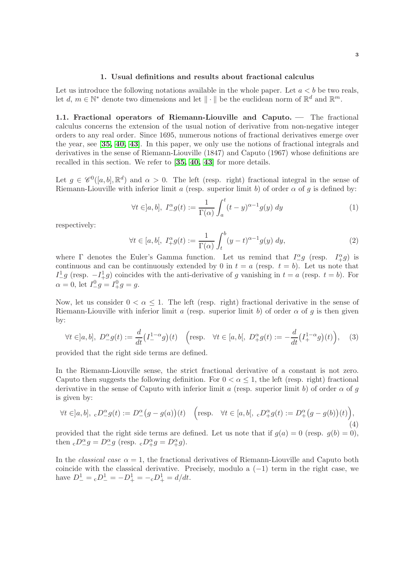## 1. Usual definitions and results about fractional calculus

<span id="page-2-0"></span>Let us introduce the following notations available in the whole paper. Let  $a < b$  be two reals, let  $d, m \in \mathbb{N}^*$  denote two dimensions and let  $\|\cdot\|$  be the euclidean norm of  $\mathbb{R}^d$  and  $\mathbb{R}^m$ .

<span id="page-2-1"></span>1.1. Fractional operators of Riemann-Liouville and Caputo. — The fractional calculus concerns the extension of the usual notion of derivative from non-negative integer orders to any real order. Since 1695, numerous notions of fractional derivatives emerge over the year, see [[35,](#page-23-7) [40,](#page-23-8) [43](#page-23-9)]. In this paper, we only use the notions of fractional integrals and derivatives in the sense of Riemann-Liouville (1847) and Caputo (1967) whose definitions are recalled in this section. We refer to [[35,](#page-23-7) [40,](#page-23-8) [43](#page-23-9)] for more details.

Let  $g \in \mathscr{C}^0([a, b], \mathbb{R}^d)$  and  $\alpha > 0$ . The left (resp. right) fractional integral in the sense of Riemann-Liouville with inferior limit a (resp. superior limit b) of order  $\alpha$  of g is defined by:

$$
\forall t \in ]a, b], \ I_{-}^{\alpha} g(t) := \frac{1}{\Gamma(\alpha)} \int_{a}^{t} (t - y)^{\alpha - 1} g(y) \ dy \tag{1}
$$

respectively:

$$
\forall t \in [a, b[, \ I_+^{\alpha} g(t) := \frac{1}{\Gamma(\alpha)} \int_t^b (y - t)^{\alpha - 1} g(y) \ dy,
$$
\n
$$
(2)
$$

where  $\Gamma$  denotes the Euler's Gamma function. Let us remind that  $I_{-}^{\alpha}g$  (resp.  $I_{+}^{\alpha}g$ ) is continuous and can be continuously extended by 0 in  $t = a$  (resp.  $t = b$ ). Let us note that  $I_{-}^{1}g$  (resp.  $-I_{+}^{1}g$ ) coincides with the anti-derivative of g vanishing in  $t = a$  (resp.  $t = b$ ). For  $\alpha = 0$ , let  $I^0_- g = I^0_+ g = g$ .

Now, let us consider  $0 < \alpha \leq 1$ . The left (resp. right) fractional derivative in the sense of Riemann-Liouville with inferior limit a (resp. superior limit b) of order  $\alpha$  of g is then given by:

$$
\forall t \in ]a, b], \ D^{\alpha}_{-}g(t) := \frac{d}{dt} \left( I^{1-\alpha}_{-}g \right)(t) \quad \left( \text{resp.} \quad \forall t \in [a, b[, \ D^{\alpha}_{+}g(t) := -\frac{d}{dt} \left( I^{1-\alpha}_{+}g \right)(t) \right), \tag{3}
$$

provided that the right side terms are defined.

In the Riemann-Liouville sense, the strict fractional derivative of a constant is not zero. Caputo then suggests the following definition. For  $0 < \alpha \leq 1$ , the left (resp. right) fractional derivative in the sense of Caputo with inferior limit a (resp. superior limit b) of order  $\alpha$  of q is given by:

$$
\forall t \in ]a, b], \, \, _cD^{\alpha}_{-}g(t) := D^{\alpha}_{-}(g - g(a))(t) \quad \left(\text{resp.} \quad \forall t \in [a, b[, \, \, _cD^{\alpha}_{+}g(t) := D^{\alpha}_{+}(g - g(b))(t)\right),\tag{4}
$$

provided that the right side terms are defined. Let us note that if  $g(a) = 0$  (resp.  $g(b) = 0$ ), then  $\Delta_{-}D_{-}^{\alpha}g = D_{-}^{\alpha}g$  (resp.  $\Delta_{+}D_{+}^{\alpha}g = D_{+}^{\alpha}g$ ).

In the *classical case*  $\alpha = 1$ , the fractional derivatives of Riemann-Liouville and Caputo both coincide with the classical derivative. Precisely, modulo a  $(-1)$  term in the right case, we have  $D^1_-= {}_cD^1_-= -D^1_+= - {}_cD^1_+= d/dt.$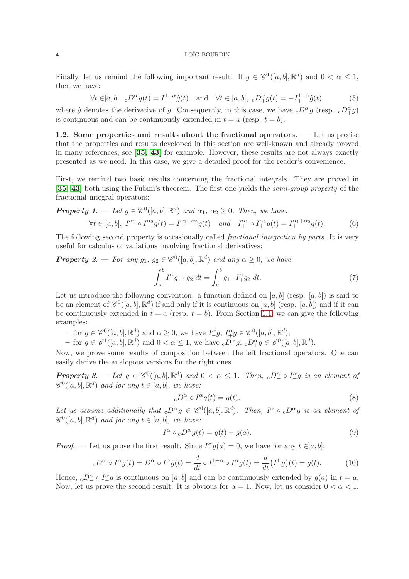Finally, let us remind the following important result. If  $g \in \mathscr{C}^1([a, b], \mathbb{R}^d)$  and  $0 < \alpha \leq 1$ , then we have:

<span id="page-3-0"></span>
$$
\forall t \in ]a, b], \, \, _cD^{\alpha}_{-}g(t) = I^{1-\alpha}_{-}\dot{g}(t) \quad \text{and} \quad \forall t \in [a, b[, \, \, _cD^{\alpha}_{+}g(t) = -I^{1-\alpha}_{+}\dot{g}(t), \tag{5}
$$

where  $\dot{g}$  denotes the derivative of g. Consequently, in this case, we have  $_cD_{-}^{\alpha}g$  (resp.  $_cD_{+}^{\alpha}g$ ) is continuous and can be continuously extended in  $t = a$  (resp.  $t = b$ ).

1.2. Some properties and results about the fractional operators. — Let us precise that the properties and results developed in this section are well-known and already proved in many references, see [[35,](#page-23-7) [43](#page-23-9)] for example. However, these results are not always exactly presented as we need. In this case, we give a detailed proof for the reader's convenience.

First, we remind two basic results concerning the fractional integrals. They are proved in [[35,](#page-23-7) [43](#page-23-9)] both using the Fubini's theorem. The first one yields the *semi-group property* of the fractional integral operators:

**Property 1.** — Let 
$$
g \in \mathcal{C}^0([a, b], \mathbb{R}^d)
$$
 and  $\alpha_1, \alpha_2 \ge 0$ . Then, we have:  
\n $\forall t \in [a, b], \ I^{\alpha_1} \circ I^{\alpha_2} g(t) = I^{\alpha_1 + \alpha_2} g(t)$  and  $I^{\alpha_1} + \sigma I^{\alpha_2} g(t) = I^{\alpha_1 + \alpha_2} g(t)$ . (6)

The following second property is occasionally called *fractional integration by parts*. It is very useful for calculus of variations involving fractional derivatives:

**Property 2.** — For any  $g_1, g_2 \in \mathscr{C}^0([a, b], \mathbb{R}^d)$  and any  $\alpha \geq 0$ , we have:

$$
\int_{a}^{b} I_{-}^{\alpha} g_{1} \cdot g_{2} dt = \int_{a}^{b} g_{1} \cdot I_{+}^{\alpha} g_{2} dt.
$$
 (7)

Let us introduce the following convention: a function defined on  $[a, b]$  (resp.  $[a, b]$ ) is said to be an element of  $\mathscr{C}^0([a, b], \mathbb{R}^d)$  if and only if it is continuous on  $[a, b]$  (resp.  $[a, b]$ ) and if it can be continuously extended in  $t = a$  (resp.  $t = b$ ). From Section [1.1,](#page-2-1) we can give the following examples:

− for  $g \in \mathscr{C}^0([a, b], \mathbb{R}^d)$  and  $\alpha \geq 0$ , we have  $I^{\alpha}_{-}g$ ,  $I^{\alpha}_{+}g \in \mathscr{C}^0([a, b], \mathbb{R}^d)$ ;

− for  $g \in \mathscr{C}^1([a, b], \mathbb{R}^d)$  and  $0 < \alpha \leq 1$ , we have  $\Delta_{-}^{\alpha} g$ ,  $\Delta_{+}^{\alpha} g \in \mathscr{C}^0([a, b], \mathbb{R}^d)$ .

Now, we prove some results of composition between the left fractional operators. One can easily derive the analogous versions for the right ones.

**Property** 3.  $-\text{ Let } g \in \mathscr{C}^0([a, b], \mathbb{R}^d)$  and  $0 < \alpha \leq 1$ . Then,  ${}_cD^{\alpha} \circ I^{\alpha}g$  is an element of  $\mathscr{C}^0([a, b], \mathbb{R}^d)$  and for any  $t \in [a, b]$ , we have:

$$
{}_{c}D_{-}^{\alpha} \circ I_{-}^{\alpha}g(t) = g(t). \tag{8}
$$

Let us assume additionally that  ${}_{c}D_{-}^{\alpha}g \in \mathscr{C}^{0}([a,b], \mathbb{R}^{d})$ . Then,  $I_{-}^{\alpha} \circ {}_{c}D_{-}^{\alpha}g$  is an element of  $\mathscr{C}^0([a, b], \mathbb{R}^d)$  and for any  $t \in [a, b]$ , we have:

$$
I_-^{\alpha} \circ \mathbf{c} D_-^{\alpha} g(t) = g(t) - g(a). \tag{9}
$$

*Proof.* — Let us prove the first result. Since  $I_{-}^{\alpha}g(a) = 0$ , we have for any  $t \in ]a, b]$ :

$$
{}_cD_-^{\alpha} \circ I_-^{\alpha} g(t) = D_-^{\alpha} \circ I_-^{\alpha} g(t) = \frac{d}{dt} \circ I_-^{1-\alpha} \circ I_-^{\alpha} g(t) = \frac{d}{dt} (I_-^1 g)(t) = g(t). \tag{10}
$$

Hence,  ${}_{c}D^{\alpha} \circ I^{\alpha}g$  is continuous on  $]a, b]$  and can be continuously extended by  $g(a)$  in  $t = a$ . Now, let us prove the second result. It is obvious for  $\alpha = 1$ . Now, let us consider  $0 < \alpha < 1$ .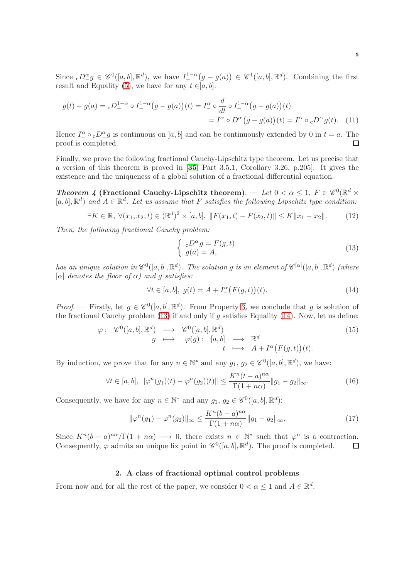Since  ${}_{c}D^{\alpha}_{-}g \in \mathscr{C}^{0}([a, b], \mathbb{R}^{d}),$  we have  $I_{-}^{1-\alpha}(g - g(a)) \in \mathscr{C}^{1}([a, b], \mathbb{R}^{d}).$  Combining the first result and Equality [\(5\)](#page-3-0), we have for any  $t \in ]a, b]$ :

$$
g(t) - g(a) = {}_{c}D_{-}^{1-\alpha} \circ I_{-}^{1-\alpha} (g - g(a))(t) = I_{-}^{\alpha} \circ \frac{d}{dt} \circ I_{-}^{1-\alpha} (g - g(a))(t)
$$

$$
= I_{-}^{\alpha} \circ D_{-}^{\alpha} (g - g(a))(t) = I_{-}^{\alpha} \circ {}_{c}D_{-}^{\alpha} g(t). \tag{11}
$$

Hence  $I^{\alpha} \circ cD^{\alpha} g$  is continuous on  $[a, b]$  and can be continuously extended by 0 in  $t = a$ . The proof is completed.  $\Box$ 

Finally, we prove the following fractional Cauchy-Lipschitz type theorem. Let us precise that a version of this theorem is proved in [[35](#page-23-7), Part 3.5.1, Corollary 3.26, p.205]. It gives the existence and the uniqueness of a global solution of a fractional differential equation.

Theorem 4 (Fractional Cauchy-Lipschitz theorem). — Let  $0 < \alpha \leq 1$ ,  $F \in \mathscr{C}^0(\mathbb{R}^d \times$  $[a, b], \mathbb{R}^d$  and  $A \in \mathbb{R}^d$ . Let us assume that F satisfies the following Lipschitz type condition:

$$
\exists K \in \mathbb{R}, \ \forall (x_1, x_2, t) \in (\mathbb{R}^d)^2 \times [a, b], \ \|F(x_1, t) - F(x_2, t)\| \le K \|x_1 - x_2\|.
$$
 (12)

Then, the following fractional Cauchy problem:

<span id="page-4-0"></span>
$$
\begin{cases}\n cD^{\alpha}_{-}g = F(g,t) \\
 g(a) = A,\n\end{cases} \tag{13}
$$

has an unique solution in  $\mathscr{C}^0([a,b], \mathbb{R}^d)$ . The solution g is an element of  $\mathscr{C}^{[\alpha]}([a,b], \mathbb{R}^d)$  (where [α] denotes the floor of  $\alpha$ ) and a satisfies:

<span id="page-4-1"></span>
$$
\forall t \in [a, b], \ g(t) = A + I^{\alpha}_{-}(F(g, t))(t). \tag{14}
$$

*Proof.* — Firstly, let  $g \in \mathscr{C}^0([a, b], \mathbb{R}^d)$ . From Property 3, we conclude that g is solution of the fractional Cauchy problem  $(13)$  if and only if q satisfies Equality  $(14)$ . Now, let us define:

$$
\varphi: \begin{array}{ccc} \mathscr{C}^{0}([a,b], \mathbb{R}^{d}) & \longrightarrow & \mathscr{C}^{0}([a,b], \mathbb{R}^{d})\\ g & \longmapsto & \varphi(g): [a,b] & \longrightarrow & \mathbb{R}^{d} \\ t & \longmapsto & A+I_{-}^{\alpha}(F(g,t))(t). \end{array} \tag{15}
$$

By induction, we prove that for any  $n \in \mathbb{N}^*$  and any  $g_1, g_2 \in \mathscr{C}^0([a, b], \mathbb{R}^d)$ , we have:

$$
\forall t \in [a, b], \ \|\varphi^n(g_1)(t) - \varphi^n(g_2)(t)\| \le \frac{K^n(t - a)^{n\alpha}}{\Gamma(1 + n\alpha)} \|g_1 - g_2\|_{\infty}.
$$
 (16)

Consequently, we have for any  $n \in \mathbb{N}^*$  and any  $g_1, g_2 \in \mathscr{C}^0([a, b], \mathbb{R}^d)$ :

$$
\|\varphi^n(g_1) - \varphi^n(g_2)\|_{\infty} \le \frac{K^n(b-a)^{n\alpha}}{\Gamma(1+n\alpha)} \|g_1 - g_2\|_{\infty}.
$$
 (17)

Since  $K^{n}(b-a)^{n\alpha}/\Gamma(1+n\alpha) \longrightarrow 0$ , there exists  $n \in \mathbb{N}^*$  such that  $\varphi^{n}$  is a contraction. Consequently,  $\varphi$  admits an unique fix point in  $\mathscr{C}^0([a, b], \mathbb{R}^d)$ . The proof is completed.  $\Box$ 

## 2. A class of fractional optimal control problems

From now and for all the rest of the paper, we consider  $0 < \alpha \leq 1$  and  $A \in \mathbb{R}^d$ .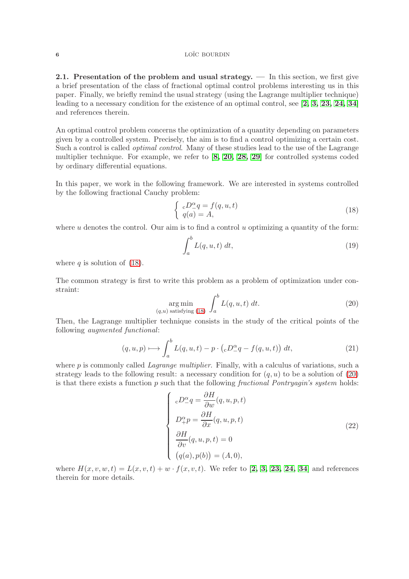<span id="page-5-0"></span>2.1. Presentation of the problem and usual strategy. — In this section, we first give a brief presentation of the class of fractional optimal control problems interesting us in this paper. Finally, we briefly remind the usual strategy (using the Lagrange multiplier technique) leading to a necessary condition for the existence of an optimal control, see  $\left[2, 3, 23, 24, 34\right]$  $\left[2, 3, 23, 24, 34\right]$  $\left[2, 3, 23, 24, 34\right]$  $\left[2, 3, 23, 24, 34\right]$  $\left[2, 3, 23, 24, 34\right]$  $\left[2, 3, 23, 24, 34\right]$  $\left[2, 3, 23, 24, 34\right]$ and references therein.

An optimal control problem concerns the optimization of a quantity depending on parameters given by a controlled system. Precisely, the aim is to find a control optimizing a certain cost. Such a control is called *optimal control*. Many of these studies lead to the use of the Lagrange multiplier technique. For example, we refer to [[8,](#page-21-9) [20,](#page-22-17) [28,](#page-22-18) [29](#page-22-19)] for controlled systems coded by ordinary differential equations.

In this paper, we work in the following framework. We are interested in systems controlled by the following fractional Cauchy problem:

<span id="page-5-1"></span>
$$
\begin{cases}\ncD^{\alpha}_{-}q = f(q, u, t) \\
q(a) = A,\n\end{cases} \tag{18}
$$

where  $u$  denotes the control. Our aim is to find a control  $u$  optimizing a quantity of the form:

$$
\int_{a}^{b} L(q, u, t) dt,
$$
\n(19)

where q is solution of  $(18)$ .

The common strategy is first to write this problem as a problem of optimization under constraint:

<span id="page-5-2"></span>
$$
\underset{(q,u)\text{ satisfying (18)}}{\arg\min} \int_{a}^{b} L(q,u,t) \, dt. \tag{20}
$$

Then, the Lagrange multiplier technique consists in the study of the critical points of the following augmented functional:

$$
(q, u, p) \longmapsto \int_{a}^{b} L(q, u, t) - p \cdot ({}_{c}D^{\alpha}_{-}q - f(q, u, t)) dt,
$$
\n(21)

where  $p$  is commonly called *Lagrange multiplier*. Finally, with a calculus of variations, such a strategy leads to the following result: a necessary condition for  $(q, u)$  to be a solution of [\(20\)](#page-5-2) is that there exists a function  $p$  such that the following *fractional Pontryagin's system* holds:

$$
\begin{cases}\ncD_{-}^{\alpha}q = \frac{\partial H}{\partial w}(q, u, p, t) \\
D_{+}^{\alpha}p = \frac{\partial H}{\partial x}(q, u, p, t) \\
\frac{\partial H}{\partial v}(q, u, p, t) = 0 \\
(q(a), p(b)) = (A, 0),\n\end{cases}
$$
\n(22)

where  $H(x, v, w, t) = L(x, v, t) + w \cdot f(x, v, t)$ . We refer to [[2,](#page-21-0) [3,](#page-21-1) [23,](#page-22-0) [24,](#page-22-1) [34](#page-22-2)] and references therein for more details.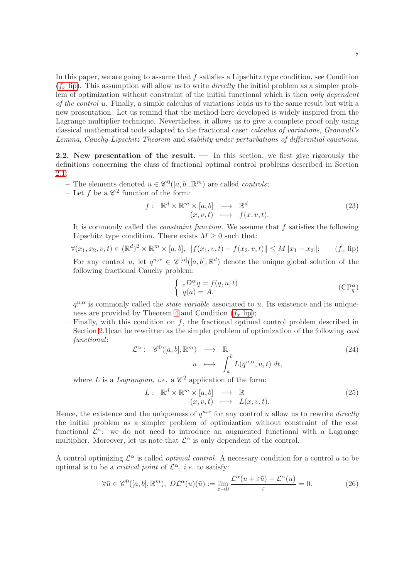In this paper, we are going to assume that f satisfies a Lipschitz type condition, see Condition  $(f_x$  [lip\)](#page-6-0). This assumption will allow us to write *directly* the initial problem as a simpler problem of optimization without constraint of the initial functional which is then *only dependent* of the control u. Finally, a simple calculus of variations leads us to the same result but with a new presentation. Let us remind that the method here developed is widely inspired from the Lagrange multiplier technique. Nevertheless, it allows us to give a complete proof only using classical mathematical tools adapted to the fractional case: calculus of variations, Gronwall's Lemma, Cauchy-Lipschitz Theorem and stability under perturbations of differential equations.

<span id="page-6-1"></span>2.2. New presentation of the result. — In this section, we first give rigorously the definitions concerning the class of fractional optimal control problems described in Section [2.1:](#page-5-0)

- The elements denoted  $u \in \mathscr{C}^0([a, b], \mathbb{R}^m)$  are called *controls*;
- Let f be a  $\mathscr{C}^2$  function of the form:

$$
f: \mathbb{R}^d \times \mathbb{R}^m \times [a, b] \longrightarrow \mathbb{R}^d
$$
  

$$
(x, v, t) \longmapsto f(x, v, t).
$$
 (23)

It is commonly called the *constraint function*. We assume that  $f$  satisfies the following Lipschitz type condition. There exists  $M \geq 0$  such that:

$$
\forall (x_1, x_2, v, t) \in (\mathbb{R}^d)^2 \times \mathbb{R}^m \times [a, b], \ \|f(x_1, v, t) - f(x_2, v, t)\| \le M \|x_1 - x_2\|; \qquad (f_x \text{ lip})
$$

- For any control u, let  $q^{u,\alpha} \in \mathscr{C}^{[\alpha]}([a,b],\mathbb{R}^d)$  denote the unique global solution of the following fractional Cauchy problem:

<span id="page-6-2"></span><span id="page-6-0"></span>
$$
\begin{cases}\n\,_c D^{\alpha}_{-}q = f(q, u, t) \\
q(a) = A.\n\end{cases} \tag{CP_q^{\alpha}}
$$

 $q^{u,\alpha}$  is commonly called the *state variable* associated to u. Its existence and its uniqueness are provided by Theorem 4 and Condition  $(f_x \text{ lip});$ 

 $-$  Finally, with this condition on f, the fractional optimal control problem described in Section [2.1](#page-5-0) can be rewritten as the simpler problem of optimization of the following *cost* functional:

$$
\mathcal{L}^{\alpha}: \mathscr{C}^{0}([a,b], \mathbb{R}^{m}) \longrightarrow \mathbb{R}
$$
  

$$
u \longmapsto \int_{a}^{b} L(q^{u,\alpha}, u, t) dt,
$$
 (24)

where L is a Lagrangian, i.e. a  $\mathscr{C}^2$  application of the form:

$$
L: \mathbb{R}^d \times \mathbb{R}^m \times [a, b] \longrightarrow \mathbb{R} (x, v, t) \longmapsto L(x, v, t).
$$
 (25)

Hence, the existence and the uniqueness of  $q^{u,\alpha}$  for any control u allow us to rewrite directly the initial problem as a simpler problem of optimization without constraint of the cost functional  $\mathcal{L}^{\alpha}$ : we do not need to introduce an augmented functional with a Lagrange multiplier. Moreover, let us note that  $\mathcal{L}^{\alpha}$  is only dependent of the control.

A control optimizing  $\mathcal{L}^{\alpha}$  is called *optimal control*. A necessary condition for a control u to be optimal is to be a *critical point* of  $\mathcal{L}^{\alpha}$ , *i.e.* to satisfy:

$$
\forall \bar{u} \in \mathscr{C}^0([a, b], \mathbb{R}^m), \ D\mathcal{L}^{\alpha}(u)(\bar{u}) := \lim_{\varepsilon \to 0} \frac{\mathcal{L}^{\alpha}(u + \varepsilon \bar{u}) - \mathcal{L}^{\alpha}(u)}{\varepsilon} = 0.
$$
 (26)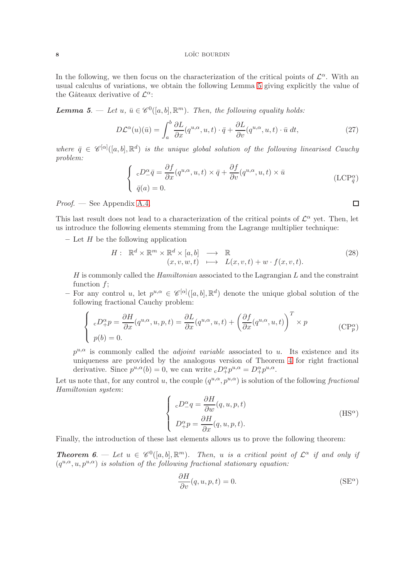In the following, we then focus on the characterization of the critical points of  $\mathcal{L}^{\alpha}$ . With an usual calculus of variations, we obtain the following Lemma 5 giving explicitly the value of the Gâteaux derivative of  $\mathcal{L}^{\alpha}$ :

**Lemma 5.** — Let  $u, \bar{u} \in \mathscr{C}^0([a, b], \mathbb{R}^m)$ . Then, the following equality holds:

$$
D\mathcal{L}^{\alpha}(u)(\bar{u}) = \int_{a}^{b} \frac{\partial L}{\partial x}(q^{u,\alpha}, u, t) \cdot \bar{q} + \frac{\partial L}{\partial v}(q^{u,\alpha}, u, t) \cdot \bar{u} dt,
$$
 (27)

where  $\bar{q} \in \mathscr{C}^{[\alpha]}([a, b], \mathbb{R}^d)$  is the unique global solution of the following linearised Cauchy problem:

$$
\begin{cases}\ncD_{-}^{\alpha}\bar{q} = \frac{\partial f}{\partial x}(q^{u,\alpha}, u, t) \times \bar{q} + \frac{\partial f}{\partial v}(q^{u,\alpha}, u, t) \times \bar{u} \\
\bar{q}(a) = 0.\n\end{cases}
$$
\n(LCP<sub>\bar{q}</sub><sup>\alpha</sup>)

Proof. — See Appendix [A.4.](#page-20-0)

This last result does not lead to a characterization of the critical points of  $\mathcal{L}^{\alpha}$  yet. Then, let us introduce the following elements stemming from the Lagrange multiplier technique:

– Let  $H$  be the following application

$$
H: \mathbb{R}^d \times \mathbb{R}^m \times \mathbb{R}^d \times [a, b] \longrightarrow \mathbb{R}
$$
  
\n
$$
(x, v, w, t) \longmapsto L(x, v, t) + w \cdot f(x, v, t).
$$
\n(28)

 $H$  is commonly called the *Hamiltonian* associated to the Lagrangian  $L$  and the constraint function  $f$ ;

- For any control u, let  $p^{u,\alpha} \in \mathscr{C}^{[\alpha]}([a,b],\mathbb{R}^d)$  denote the unique global solution of the following fractional Cauchy problem:

$$
\begin{cases}\n\ _{c}D_{+}^{\alpha}p = \frac{\partial H}{\partial x}(q^{u,\alpha}, u, p, t) = \frac{\partial L}{\partial x}(q^{u,\alpha}, u, t) + \left(\frac{\partial f}{\partial x}(q^{u,\alpha}, u, t)\right)^{T} \times p \\
p(b) = 0.\n\end{cases} \tag{CPp\alpha}
$$

 $p^{u,\alpha}$  is commonly called the *adjoint variable* associated to u. Its existence and its uniqueness are provided by the analogous version of Theorem 4 for right fractional derivative. Since  $p^{u,\alpha}(b) = 0$ , we can write  ${}_{c}D^{\alpha}_{+}p^{u,\alpha} = D^{\alpha}_{+}p^{u,\alpha}$ .

Let us note that, for any control u, the couple  $(q^{u,\alpha}, p^{u,\alpha})$  is solution of the following fractional Hamiltonian system:

$$
\begin{cases}\n\epsilon D^{\alpha}_{-}q = \frac{\partial H}{\partial w}(q, u, p, t) \\
D^{\alpha}_{+}p = \frac{\partial H}{\partial x}(q, u, p, t).\n\end{cases} \tag{HS^{\alpha}}
$$

Finally, the introduction of these last elements allows us to prove the following theorem:

**Theorem 6.** — Let  $u \in \mathscr{C}^0([a, b], \mathbb{R}^m)$ . Then, u is a critical point of  $\mathcal{L}^{\alpha}$  if and only if  $(q^{u,\alpha}, u, p^{u,\alpha})$  is solution of the following fractional stationary equation:

<span id="page-7-3"></span><span id="page-7-2"></span>
$$
\frac{\partial H}{\partial v}(q, u, p, t) = 0.
$$
 (SE<sup>α</sup>)

<span id="page-7-1"></span><span id="page-7-0"></span> $\Box$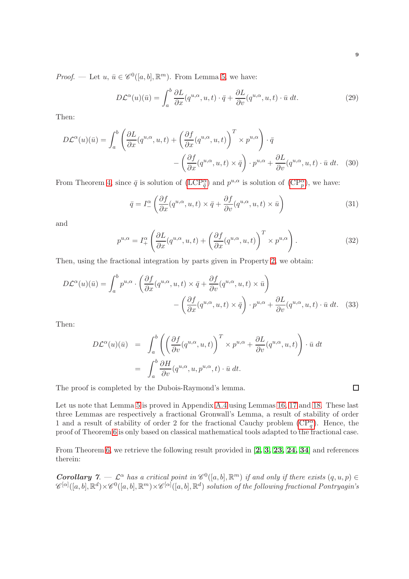*Proof.* — Let  $u, \bar{u} \in \mathscr{C}^0([a, b], \mathbb{R}^m)$ . From Lemma 5, we have:

$$
D\mathcal{L}^{\alpha}(u)(\bar{u}) = \int_{a}^{b} \frac{\partial L}{\partial x}(q^{u,\alpha}, u, t) \cdot \bar{q} + \frac{\partial L}{\partial v}(q^{u,\alpha}, u, t) \cdot \bar{u} dt.
$$
 (29)

Then:

$$
D\mathcal{L}^{\alpha}(u)(\bar{u}) = \int_{a}^{b} \left( \frac{\partial L}{\partial x} (q^{u,\alpha}, u, t) + \left( \frac{\partial f}{\partial x} (q^{u,\alpha}, u, t) \right)^{T} \times p^{u,\alpha} \right) \cdot \bar{q} - \left( \frac{\partial f}{\partial x} (q^{u,\alpha}, u, t) \times \bar{q} \right) \cdot p^{u,\alpha} + \frac{\partial L}{\partial v} (q^{u,\alpha}, u, t) \cdot \bar{u} dt. \quad (30)
$$

From Theorem 4, since  $\bar{q}$  is solution of  $(LCP^{\alpha}_{\bar{q}})$  and  $p^{u,\alpha}$  is solution of  $(CP^{\alpha}_{p})$ , we have:

$$
\bar{q} = I^{\alpha}_{-} \left( \frac{\partial f}{\partial x} (q^{u,\alpha}, u, t) \times \bar{q} + \frac{\partial f}{\partial v} (q^{u,\alpha}, u, t) \times \bar{u} \right)
$$
(31)

and

$$
p^{u,\alpha} = I_+^{\alpha} \left( \frac{\partial L}{\partial x} (q^{u,\alpha}, u, t) + \left( \frac{\partial f}{\partial x} (q^{u,\alpha}, u, t) \right)^T \times p^{u,\alpha} \right). \tag{32}
$$

Then, using the fractional integration by parts given in Property 2, we obtain:

$$
D\mathcal{L}^{\alpha}(u)(\bar{u}) = \int_{a}^{b} p^{u,\alpha} \cdot \left( \frac{\partial f}{\partial x}(q^{u,\alpha}, u, t) \times \bar{q} + \frac{\partial f}{\partial v}(q^{u,\alpha}, u, t) \times \bar{u} \right) - \left( \frac{\partial f}{\partial x}(q^{u,\alpha}, u, t) \times \bar{q} \right) \cdot p^{u,\alpha} + \frac{\partial L}{\partial v}(q^{u,\alpha}, u, t) \cdot \bar{u} dt. \quad (33)
$$

Then:

$$
D\mathcal{L}^{\alpha}(u)(\bar{u}) = \int_{a}^{b} \left( \left( \frac{\partial f}{\partial v}(q^{u,\alpha}, u, t) \right)^{T} \times p^{u,\alpha} + \frac{\partial L}{\partial v}(q^{u,\alpha}, u, t) \right) \cdot \bar{u} dt
$$
  

$$
= \int_{a}^{b} \frac{\partial H}{\partial v}(q^{u,\alpha}, u, p^{u,\alpha}, t) \cdot \bar{u} dt.
$$

The proof is completed by the Dubois-Raymond's lemma.

Let us note that Lemma 5 is proved in Appendix [A.4](#page-20-0) using Lemmas 16, 17 and 18. These last three Lemmas are respectively a fractional Gronwall's Lemma, a result of stability of order 1 and a result of stability of order 2 for the fractional Cauchy problem  $(\mathbb{C}P_q^{\alpha})$ . Hence, the proof of Theorem 6 is only based on classical mathematical tools adapted to the fractional case.

From Theorem 6, we retrieve the following result provided in [[2,](#page-21-0) [3,](#page-21-1) [23,](#page-22-0) [24,](#page-22-1) [34](#page-22-2)] and references therein:

**Corollary 7.**  $\subset \mathcal{L}^{\alpha}$  has a critical point in  $\mathscr{C}^0([a, b], \mathbb{R}^m)$  if and only if there exists  $(q, u, p) \in \mathbb{R}^m$  $\mathscr{C}^{[\alpha]}([a,b],{\mathbb R}^d)\times\mathscr{C}^0([a,b],{\mathbb R}^m)\times\mathscr{C}^{[\alpha]}([a,b],{\mathbb R}^d)$  solution of the following fractional Pontryagin's

 $\Box$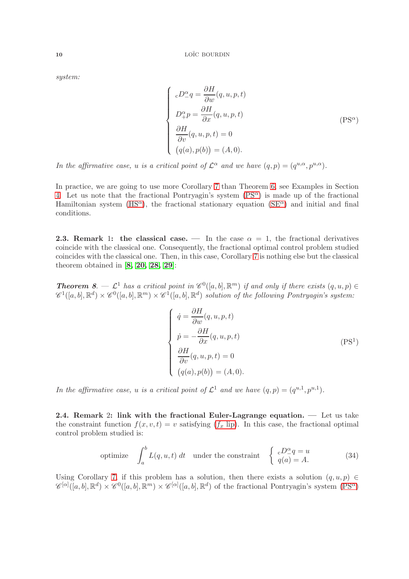system:

<span id="page-9-0"></span>
$$
\begin{cases}\n\epsilon D^{\alpha}_{-}q = \frac{\partial H}{\partial w}(q, u, p, t) \\
D^{\alpha}_{+}p = \frac{\partial H}{\partial x}(q, u, p, t) \\
\frac{\partial H}{\partial v}(q, u, p, t) = 0 \\
(q(a), p(b)) = (A, 0).\n\end{cases}
$$
\n(PS<sup>\alpha</sup>)

In the affirmative case, u is a critical point of  $\mathcal{L}^{\alpha}$  and we have  $(q, p) = (q^{u,\alpha}, p^{u,\alpha})$ .

In practice, we are going to use more Corollary 7 than Theorem 6, see Examples in Section [4.](#page-12-0) Let us note that the fractional Pontryagin's system  $(PS^{\alpha})$  is made up of the fractional Hamiltonian system  $(HS^{\alpha})$ , the fractional stationary equation  $(SE^{\alpha})$  and initial and final conditions.

**2.3. Remark 1: the classical case.** — In the case  $\alpha = 1$ , the fractional derivatives coincide with the classical one. Consequently, the fractional optimal control problem studied coincides with the classical one. Then, in this case, Corollary 7 is nothing else but the classical theorem obtained in  $[8, 20, 28, 29]$  $[8, 20, 28, 29]$  $[8, 20, 28, 29]$  $[8, 20, 28, 29]$  $[8, 20, 28, 29]$  $[8, 20, 28, 29]$ :

**Theorem 8.**  $\mathcal{L}^1$  has a critical point in  $\mathcal{C}^0([a, b], \mathbb{R}^m)$  if and only if there exists  $(q, u, p) \in$ <br> $\mathcal{C}^1([a, b], \mathbb{R}^d) \times \mathcal{C}^0([a, b], \mathbb{R}^m) \times \mathcal{C}^1([a, b], \mathbb{R}^d)$  solution of the following Pontryagin

<span id="page-9-2"></span>
$$
\begin{cases}\n\dot{q} = \frac{\partial H}{\partial w}(q, u, p, t) \\
\dot{p} = -\frac{\partial H}{\partial x}(q, u, p, t) \\
\frac{\partial H}{\partial v}(q, u, p, t) = 0 \\
(q(a), p(b)) = (A, 0).\n\end{cases}
$$
\n(PS<sup>1</sup>)

In the affirmative case, u is a critical point of  $\mathcal{L}^1$  and we have  $(q, p) = (q^{u,1}, p^{u,1})$ .

2.4. Remark 2: link with the fractional Euler-Lagrange equation. — Let us take the constraint function  $f(x, v, t) = v$  satisfying  $(f_x$  [lip\)](#page-6-0). In this case, the fractional optimal control problem studied is:

<span id="page-9-1"></span>
$$
\text{ optimize} \quad \int_{a}^{b} L(q, u, t) \, dt \quad \text{under the constraint} \quad \begin{cases} \begin{array}{c} cD^{\alpha} = u \\ q(a) = A. \end{array} \end{cases} \tag{34}
$$

Using Corollary 7, if this problem has a solution, then there exists a solution  $(q, u, p) \in$  $\mathscr{C}^{[\alpha]}([a,b],\mathbb{R}^d)\times\mathscr{C}^0([a,b],\mathbb{R}^m)\times\mathscr{C}^{[\alpha]}([a,b],\mathbb{R}^d)$  of the fractional Pontryagin's system  $(PS^{\alpha})$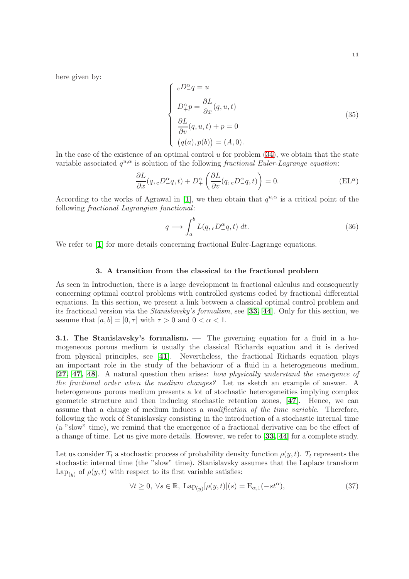here given by:

$$
\begin{cases}\ncD^{\alpha}_{-}q = u \\
D^{\alpha}_{+}p = \frac{\partial L}{\partial x}(q, u, t) \\
\frac{\partial L}{\partial v}(q, u, t) + p = 0 \\
(q(a), p(b)) = (A, 0).\n\end{cases}
$$
\n(35)

In the case of the existence of an optimal control  $u$  for problem  $(34)$ , we obtain that the state variable associated  $q^{u,\alpha}$  is solution of the following *fractional Euler-Lagrange equation*:

$$
\frac{\partial L}{\partial x}(q,{}_{c}D^{\alpha}_{-}q,t) + D^{\alpha}_{+}\left(\frac{\partial L}{\partial v}(q,{}_{c}D^{\alpha}_{-}q,t)\right) = 0.
$$
 (EL<sup>\alpha</sup>)

According to the works of Agrawal in [[1](#page-21-6)], we then obtain that  $q^{u,\alpha}$  is a critical point of the following fractional Lagrangian functional:

$$
q \longrightarrow \int_{a}^{b} L(q, {}_{c}D^{\alpha}_{-}q, t) dt.
$$
\n(36)

<span id="page-10-0"></span>We refer to [[1](#page-21-6)] for more details concerning fractional Euler-Lagrange equations.

## 3. A transition from the classical to the fractional problem

As seen in Introduction, there is a large development in fractional calculus and consequently concerning optimal control problems with controlled systems coded by fractional differential equations. In this section, we present a link between a classical optimal control problem and its fractional version via the Stanislavsky's formalism, see [[33,](#page-22-16) [44](#page-23-3)]. Only for this section, we assume that  $[a, b] = [0, \tau]$  with  $\tau > 0$  and  $0 < \alpha < 1$ .

3.1. The Stanislavsky's formalism. — The governing equation for a fluid in a homogeneous porous medium is usually the classical Richards equation and it is derived from physical principles, see [[41](#page-23-10)]. Nevertheless, the fractional Richards equation plays an important role in the study of the behaviour of a fluid in a heterogeneous medium, [[27,](#page-22-15) [47,](#page-23-4) [48](#page-23-5)]. A natural question then arises: how physically understand the emergence of the fractional order when the medium changes? Let us sketch an example of answer. A heterogeneous porous medium presents a lot of stochastic heterogeneities implying complex geometric structure and then inducing stochastic retention zones, [[47](#page-23-4)]. Hence, we can assume that a change of medium induces a modification of the time variable. Therefore, following the work of Stanislavsky consisting in the introduction of a stochastic internal time (a "slow" time), we remind that the emergence of a fractional derivative can be the effect of a change of time. Let us give more details. However, we refer to [[33,](#page-22-16) [44](#page-23-3)] for a complete study.

Let us consider  $T_t$  a stochastic process of probability density function  $\rho(y, t)$ .  $T_t$  represents the stochastic internal time (the "slow" time). Stanislavsky assumes that the Laplace transform  $\text{Lap}_{(y)}$  of  $\rho(y, t)$  with respect to its first variable satisfies:

$$
\forall t \ge 0, \ \forall s \in \mathbb{R}, \ \mathrm{Lap}_{(y)}[\rho(y, t)](s) = \mathrm{E}_{\alpha, 1}(-st^{\alpha}), \tag{37}
$$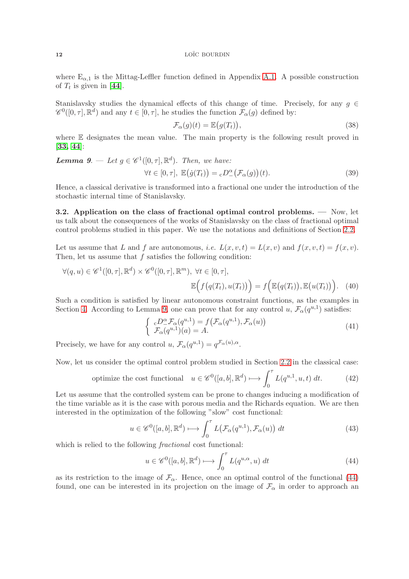where  $E_{\alpha,1}$  is the Mittag-Leffler function defined in Appendix [A.1.](#page-17-1) A possible construction of  $T_t$  is given in [[44](#page-23-3)].

Stanislavsky studies the dynamical effects of this change of time. Precisely, for any  $g \in$  $\mathscr{C}^0([0,\tau], \mathbb{R}^d)$  and any  $t \in [0,\tau]$ , he studies the function  $\mathcal{F}_{\alpha}(g)$  defined by:

$$
\mathcal{F}_{\alpha}(g)(t) = \mathbb{E}\big(g(T_t)\big),\tag{38}
$$

where E designates the mean value. The main property is the following result proved in [[33,](#page-22-16) [44](#page-23-3)]:

**Lemma 9.** - Let 
$$
g \in \mathcal{C}^1([0, \tau], \mathbb{R}^d)
$$
. Then, we have:  
\n
$$
\forall t \in [0, \tau], \ \mathbb{E}\big(\dot{g}(T_t)\big) = {}_cD^\alpha_{-}\big(\mathcal{F}_\alpha(g)\big)(t).
$$
\n(39)

Hence, a classical derivative is transformed into a fractional one under the introduction of the stochastic internal time of Stanislavsky.

3.2. Application on the class of fractional optimal control problems. — Now, let us talk about the consequences of the works of Stanislavsky on the class of fractional optimal control problems studied in this paper. We use the notations and definitions of Section [2.2.](#page-6-1)

Let us assume that L and f are autonomous, *i.e.*  $L(x, v, t) = L(x, v)$  and  $f(x, v, t) = f(x, v)$ . Then, let us assume that  $f$  satisfies the following condition:

$$
\forall (q, u) \in \mathscr{C}^1([0, \tau], \mathbb{R}^d) \times \mathscr{C}^0([0, \tau], \mathbb{R}^m), \forall t \in [0, \tau],
$$

$$
\mathbb{E}\Big(f\big(q(T_t), u(T_t)\big)\Big) = f\Big(\mathbb{E}\big(q(T_t)\big), \mathbb{E}\big(u(T_t)\big)\Big). \tag{40}
$$

Such a condition is satisfied by linear autonomous constraint functions, as the examples in Section [4.](#page-12-0) According to Lemma 9, one can prove that for any control  $u, \mathcal{F}_{\alpha}(q^{u,1})$  satisfies:

$$
\begin{cases}\n cD^{\alpha}_{-} \mathcal{F}_{\alpha}(q^{u,1}) = f(\mathcal{F}_{\alpha}(q^{u,1}), \mathcal{F}_{\alpha}(u)) \\
 \mathcal{F}_{\alpha}(q^{u,1})(a) = A.\n\end{cases} \tag{41}
$$

Precisely, we have for any control  $u, \mathcal{F}_{\alpha}(q^{u,1}) = q^{\mathcal{F}_{\alpha}(u), \alpha}$ .

Now, let us consider the optimal control problem studied in Section [2.2](#page-6-1) in the classical case:

optimize the cost functional 
$$
u \in \mathscr{C}^0([a, b], \mathbb{R}^d) \longrightarrow \int_0^{\tau} L(q^{u,1}, u, t) dt.
$$
 (42)

Let us assume that the controlled system can be prone to changes inducing a modification of the time variable as it is the case with porous media and the Richards equation. We are then interested in the optimization of the following "slow" cost functional:

<span id="page-11-1"></span>
$$
u \in \mathscr{C}^0([a, b], \mathbb{R}^d) \longmapsto \int_0^\tau L\big(\mathcal{F}_\alpha(q^{u, 1}), \mathcal{F}_\alpha(u)\big) dt \tag{43}
$$

which is relied to the following *fractional* cost functional:

<span id="page-11-0"></span>
$$
u \in \mathscr{C}^0([a, b], \mathbb{R}^d) \longmapsto \int_0^\tau L(q^{u, \alpha}, u) dt \tag{44}
$$

as its restriction to the image of  $\mathcal{F}_{\alpha}$ . Hence, once an optimal control of the functional [\(44\)](#page-11-0) found, one can be interested in its projection on the image of  $\mathcal{F}_{\alpha}$  in order to approach an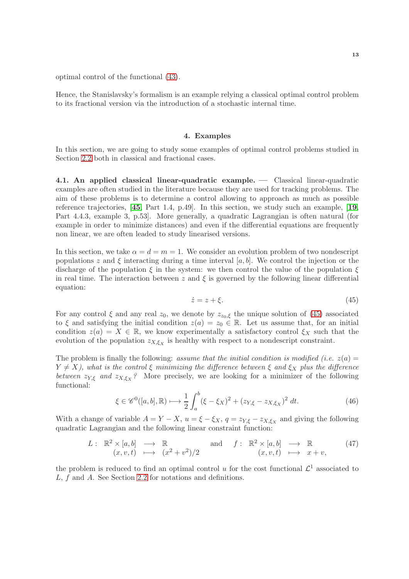optimal control of the functional [\(43\)](#page-11-1).

Hence, the Stanislavsky's formalism is an example relying a classical optimal control problem to its fractional version via the introduction of a stochastic internal time.

## 4. Examples

<span id="page-12-0"></span>In this section, we are going to study some examples of optimal control problems studied in Section [2.2](#page-6-1) both in classical and fractional cases.

<span id="page-12-3"></span>4.1. An applied classical linear-quadratic example. — Classical linear-quadratic examples are often studied in the literature because they are used for tracking problems. The aim of these problems is to determine a control allowing to approach as much as possible reference trajectories, [[45](#page-23-1), Part 1.4, p.49]. In this section, we study such an example, [[19](#page-22-10), Part 4.4.3, example 3, p.53]. More generally, a quadratic Lagrangian is often natural (for example in order to minimize distances) and even if the differential equations are frequently non linear, we are often leaded to study linearised versions.

In this section, we take  $\alpha = d = m = 1$ . We consider an evolution problem of two nondescript populations z and  $\xi$  interacting during a time interval [a, b]. We control the injection or the discharge of the population  $\xi$  in the system: we then control the value of the population  $\xi$ in real time. The interaction between  $z$  and  $\xi$  is governed by the following linear differential equation:

<span id="page-12-1"></span>
$$
\dot{z} = z + \xi. \tag{45}
$$

For any control  $\xi$  and any real  $z_0$ , we denote by  $z_{z_0,\xi}$  the unique solution of [\(45\)](#page-12-1) associated to  $\xi$  and satisfying the initial condition  $z(a) = z_0 \in \mathbb{R}$ . Let us assume that, for an initial condition  $z(a) = X \in \mathbb{R}$ , we know experimentally a satisfactory control  $\xi_X$  such that the evolution of the population  $z_{X,\xi_X}$  is healthy with respect to a nondescript constraint.

The problem is finally the following: assume that the initial condition is modified (i.e.  $z(a) =$  $Y \neq X$ ), what is the control  $\xi$  minimizing the difference between  $\xi$  and  $\xi_X$  plus the difference between  $z_{Y,\xi}$  and  $z_{X,\xi_X}$ ? More precisely, we are looking for a minimizer of the following functional:

<span id="page-12-2"></span>
$$
\xi \in \mathscr{C}^0([a, b], \mathbb{R}) \longmapsto \frac{1}{2} \int_a^b (\xi - \xi_X)^2 + (z_{Y, \xi} - z_{X, \xi_X})^2 \, dt. \tag{46}
$$

With a change of variable  $A = Y - X$ ,  $u = \xi - \xi_X$ ,  $q = z_{Y,\xi} - z_{X,\xi_X}$  and giving the following quadratic Lagrangian and the following linear constraint function:

<span id="page-12-4"></span>
$$
L: \mathbb{R}^2 \times [a, b] \longrightarrow \mathbb{R} \text{ and } f: \mathbb{R}^2 \times [a, b] \longrightarrow \mathbb{R} \text{ } (x, v, t) \longmapsto (x^2 + v^2)/2 \text{ } \text{ } (x, v, t) \longmapsto x + v,
$$
 (47)

the problem is reduced to find an optimal control u for the cost functional  $\mathcal{L}^1$  associated to L, f and A. See Section [2.2](#page-6-1) for notations and definitions.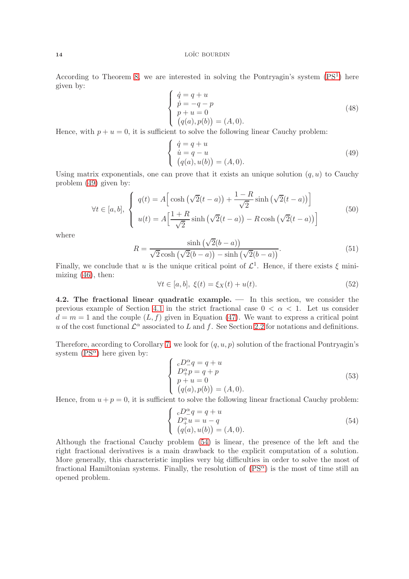According to Theorem 8, we are interested in solving the Pontryagin's system  $(PS<sup>1</sup>)$  here given by:

$$
\begin{cases}\n\dot{q} = q + u \\
\dot{p} = -q - p \\
p + u = 0 \\
(q(a), p(b)) = (A, 0).\n\end{cases}
$$
\n(48)

Hence, with  $p + u = 0$ , it is sufficient to solve the following linear Cauchy problem:

<span id="page-13-0"></span>
$$
\begin{cases}\n\dot{q} = q + u \\
\dot{u} = q - u \\
(q(a), u(b)) = (A, 0).\n\end{cases}
$$
\n(49)

Using matrix exponentials, one can prove that it exists an unique solution  $(q, u)$  to Cauchy problem [\(49\)](#page-13-0) given by:

$$
\forall t \in [a, b], \begin{cases} q(t) = A \left[ \cosh\left(\sqrt{2}(t-a)\right) + \frac{1-R}{\sqrt{2}} \sinh\left(\sqrt{2}(t-a)\right) \right] \\ u(t) = A \left[ \frac{1+R}{\sqrt{2}} \sinh\left(\sqrt{2}(t-a)\right) - R \cosh\left(\sqrt{2}(t-a)\right) \right] \end{cases}
$$
(50)

where

$$
R = \frac{\sinh\left(\sqrt{2}(b-a)\right)}{\sqrt{2}\cosh\left(\sqrt{2}(b-a)\right) - \sinh\left(\sqrt{2}(b-a)\right)}.\tag{51}
$$

Finally, we conclude that u is the unique critical point of  $\mathcal{L}^1$ . Hence, if there exists  $\xi$  minimizing  $(46)$ , then:

$$
\forall t \in [a, b], \ \xi(t) = \xi_X(t) + u(t). \tag{52}
$$

<span id="page-13-2"></span>4.2. The fractional linear quadratic example. — In this section, we consider the previous example of Section [4.1](#page-12-3) in the strict fractional case  $0 < \alpha < 1$ . Let us consider  $d = m = 1$  and the couple  $(L, f)$  given in Equation [\(47\)](#page-12-4). We want to express a critical point u of the cost functional  $\mathcal{L}^{\alpha}$  associated to L and f. See Section [2.2](#page-6-1) for notations and definitions.

Therefore, according to Corollary 7, we look for  $(q, u, p)$  solution of the fractional Pontryagin's system  $(PS^{\alpha})$  here given by:

<span id="page-13-3"></span>
$$
\begin{cases}\ncD^{\alpha}_-q = q + u \\
D^{\alpha}_+ p = q + p \\
p + u = 0 \\
(q(a), p(b)) = (A, 0).\n\end{cases}
$$
\n(53)

Hence, from  $u + p = 0$ , it is sufficient to solve the following linear fractional Cauchy problem:

<span id="page-13-1"></span>
$$
\begin{cases}\n\epsilon D^{\alpha}_{+}q = q + u \\
D^{\alpha}_{+}u = u - q \\
(q(a), u(b)) = (A, 0).\n\end{cases}
$$
\n(54)

Although the fractional Cauchy problem [\(54\)](#page-13-1) is linear, the presence of the left and the right fractional derivatives is a main drawback to the explicit computation of a solution. More generally, this characteristic implies very big difficulties in order to solve the most of fractional Hamiltonian systems. Finally, the resolution of  $(PS^{\alpha})$  is the most of time still an opened problem.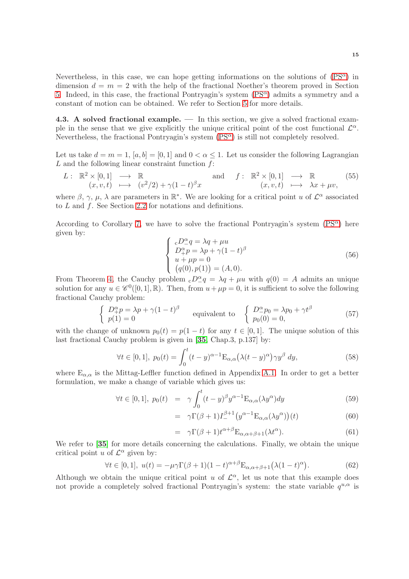Nevertheless, in this case, we can hope getting informations on the solutions of  $(PS^{\alpha})$  in dimension  $d = m = 2$  with the help of the fractional Noether's theorem proved in Section [5.](#page-15-0) Indeed, in this case, the fractional Pontryagin's system  $(PS^{\alpha})$  $(PS^{\alpha})$  admits a symmetry and a constant of motion can be obtained. We refer to Section [5](#page-15-0) for more details.

<span id="page-14-0"></span>4.3. A solved fractional example. — In this section, we give a solved fractional example in the sense that we give explicitly the unique critical point of the cost functional  $\mathcal{L}^{\alpha}$ . Nevertheless, the fractional Pontryagin's system  $(PS^{\alpha})$  is still not completely resolved.

Let us take  $d = m = 1$ ,  $[a, b] = [0, 1]$  and  $0 < \alpha \leq 1$ . Let us consider the following Lagrangian  $L$  and the following linear constraint function  $f$ :

$$
L: \mathbb{R}^2 \times [0,1] \longrightarrow \mathbb{R} \text{ and } f: \mathbb{R}^2 \times [0,1] \longrightarrow \mathbb{R} \text{ (55)}
$$
  

$$
(x,v,t) \longmapsto (v^2/2) + \gamma (1-t)^{\beta} x \qquad (x,v,t) \longmapsto \lambda x + \mu v,
$$

where  $\beta$ ,  $\gamma$ ,  $\mu$ ,  $\lambda$  are parameters in  $\mathbb{R}^*$ . We are looking for a critical point u of  $\mathcal{L}^{\alpha}$  associated to L and f. See Section [2.2](#page-6-1) for notations and definitions.

According to Corollary 7, we have to solve the fractional Pontryagin's system  $(PS^{\alpha})$  here given by:

$$
\begin{cases}\ncD^{\alpha}_{+}q = \lambda q + \mu u \\
D^{\alpha}_{+}p = \lambda p + \gamma (1 - t)^{\beta} \\
u + \mu p = 0 \\
(q(0), p(1)) = (A, 0).\n\end{cases}
$$
\n(56)

From Theorem 4, the Cauchy problem  $_cD^{\alpha}_-q = \lambda q + \mu u$  with  $q(0) = A$  admits an unique solution for any  $u \in \mathscr{C}^0([0,1], \mathbb{R})$ . Then, from  $u + \mu p = 0$ , it is sufficient to solve the following fractional Cauchy problem:

$$
\begin{cases}\nD_+^\alpha p = \lambda p + \gamma (1 - t)^\beta \\
p(1) = 0\n\end{cases}
$$
 equivalent to 
$$
\begin{cases}\nD_-^\alpha p_0 = \lambda p_0 + \gamma t^\beta \\
p_0(0) = 0,\n\end{cases}
$$
\n(57)

with the change of unknown  $p_0(t) = p(1-t)$  for any  $t \in [0,1]$ . The unique solution of this last fractional Cauchy problem is given in [[35](#page-23-7), Chap.3, p.137] by:

$$
\forall t \in [0,1], \ p_0(t) = \int_0^t (t-y)^{\alpha-1} \mathcal{E}_{\alpha,\alpha}(\lambda(t-y)^\alpha) \gamma y^\beta \ dy,
$$
\n(58)

where  $E_{\alpha,\alpha}$  is the Mittag-Leffler function defined in Appendix [A.1.](#page-17-1) In order to get a better formulation, we make a change of variable which gives us:

$$
\forall t \in [0,1], \ p_0(t) = \gamma \int_0^t (t-y)^\beta y^{\alpha-1} E_{\alpha,\alpha}(\lambda y^\alpha) dy \tag{59}
$$

$$
= \gamma \Gamma(\beta + 1) I_{-}^{\beta + 1} \big( y^{\alpha - 1} \mathcal{E}_{\alpha, \alpha}(\lambda y^{\alpha}) \big) (t) \tag{60}
$$

$$
= \gamma \Gamma(\beta + 1) t^{\alpha + \beta} E_{\alpha, \alpha + \beta + 1}(\lambda t^{\alpha}). \tag{61}
$$

We refer to [[35](#page-23-7)] for more details concerning the calculations. Finally, we obtain the unique critical point u of  $\mathcal{L}^{\alpha}$  given by:

$$
\forall t \in [0,1], \ u(t) = -\mu \gamma \Gamma(\beta + 1)(1-t)^{\alpha + \beta} \mathcal{E}_{\alpha,\alpha+\beta+1}(\lambda(1-t)^{\alpha}). \tag{62}
$$

Although we obtain the unique critical point u of  $\mathcal{L}^{\alpha}$ , let us note that this example does not provide a completely solved fractional Pontryagin's system: the state variable  $q^{u,\alpha}$  is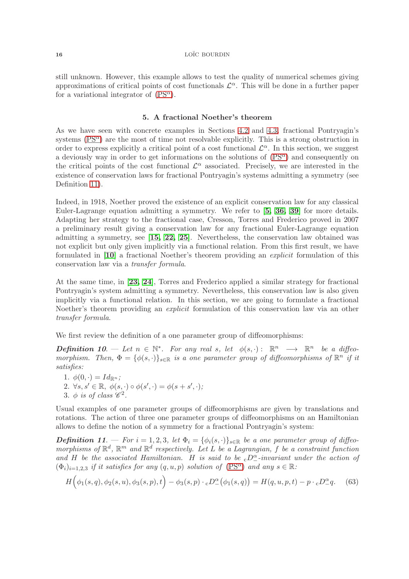still unknown. However, this example allows to test the quality of numerical schemes giving approximations of critical points of cost functionals  $\mathcal{L}^{\alpha}$ . This will be done in a further paper for a variational integrator of  $(PS^{\alpha})$ .

## 5. A fractional Noether's theorem

<span id="page-15-0"></span>As we have seen with concrete examples in Sections [4.2](#page-13-2) and [4.3,](#page-14-0) fractional Pontryagin's systems  $(PS^{\alpha})$  are the most of time not resolvable explicitly. This is a strong obstruction in order to express explicitly a critical point of a cost functional  $\mathcal{L}^{\alpha}$ . In this section, we suggest a deviously way in order to get informations on the solutions of  $(PS^{\alpha})$  and consequently on the critical points of the cost functional  $\mathcal{L}^{\alpha}$  associated. Precisely, we are interested in the existence of conservation laws for fractional Pontryagin's systems admitting a symmetry (see Definition 11).

Indeed, in 1918, Noether proved the existence of an explicit conservation law for any classical Euler-Lagrange equation admitting a symmetry. We refer to [[5,](#page-21-2) [36,](#page-23-11) [39](#page-23-12)] for more details. Adapting her strategy to the fractional case, Cresson, Torres and Frederico proved in 2007 a preliminary result giving a conservation law for any fractional Euler-Lagrange equation admitting a symmetry, see [[15,](#page-22-20) [22,](#page-22-21) [25](#page-22-22)]. Nevertheless, the conservation law obtained was not explicit but only given implicitly via a functional relation. From this first result, we have formulated in [[10](#page-21-8)] a fractional Noether's theorem providing an explicit formulation of this conservation law via a transfer formula.

At the same time, in [[23,](#page-22-0) [24](#page-22-1)], Torres and Frederico applied a similar strategy for fractional Pontryagin's system admitting a symmetry. Nevertheless, this conservation law is also given implicitly via a functional relation. In this section, we are going to formulate a fractional Noether's theorem providing an *explicit* formulation of this conservation law via an other transfer formula.

We first review the definition of a one parameter group of diffeomorphisms:

**Definition 10.** — Let  $n \in \mathbb{N}^*$ . For any real s, let  $\phi(s, \cdot)$ :  $\mathbb{R}^n \longrightarrow \mathbb{R}^n$  be a diffeomorphism. Then,  $\Phi = {\phi(s, \cdot)}_{s \in \mathbb{R}}$  is a one parameter group of diffeomorphisms of  $\mathbb{R}^n$  if it satisfies:

1.  $\phi(0, \cdot) = Id_{\mathbb{R}^n}$ ; 2.  $\forall s, s' \in \mathbb{R}, \ \overline{\phi(s, \cdot)} \circ \phi(s', \cdot) = \phi(s + s', \cdot);$ 3.  $\phi$  is of class  $\mathscr{C}^2$ .

Usual examples of one parameter groups of diffeomorphisms are given by translations and rotations. The action of three one parameter groups of diffeomorphisms on an Hamiltonian allows to define the notion of a symmetry for a fractional Pontryagin's system:

**Definition 11.** — For  $i = 1, 2, 3$ , let  $\Phi_i = {\phi_i(s, \cdot)}_{s \in \mathbb{R}}$  be a one parameter group of diffeomorphisms of  $\mathbb{R}^d$ ,  $\mathbb{R}^m$  and  $\mathbb{R}^d$  respectively. Let L be a Lagrangian, f be a constraint function and H be the associated Hamiltonian. H is said to be  ${}_{c}D_{-}^{\alpha}$ -invariant under the action of  $(\Phi_i)_{i=1,2,3}$  if it satisfies for any  $(q, u, p)$  solution of  $(PS^{\alpha})$  $(PS^{\alpha})$  and any  $s \in \mathbb{R}$ :

$$
H(\phi_1(s,q), \phi_2(s,u), \phi_3(s,p), t) - \phi_3(s,p) \cdot cD_-^{\alpha}(\phi_1(s,q)) = H(q, u, p, t) - p \cdot cD_-^{\alpha}q. \tag{63}
$$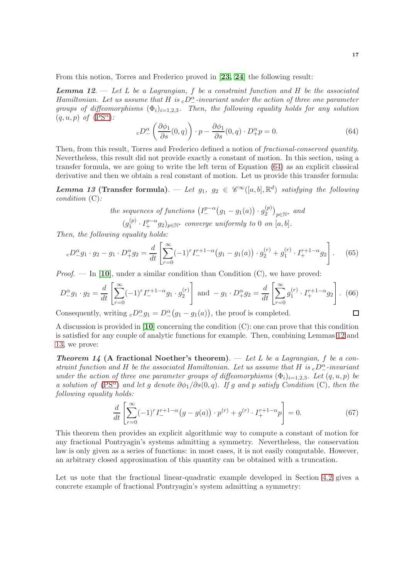From this notion, Torres and Frederico proved in [[23,](#page-22-0) [24](#page-22-1)] the following result:

**Lemma 12.**  $\rightarrow$  Let L be a Lagrangian, f be a constraint function and H be the associated Hamiltonian. Let us assume that H is  $_0D^\alpha$ -invariant under the action of three one parameter groups of diffeomorphisms  $(\Phi_i)_{i=1,2,3}$ . Then, the following equality holds for any solution  $(a, u, p)$  of  $(PS^{\alpha})$  $(PS^{\alpha})$ :

<span id="page-16-0"></span>
$$
{}_{c}D_{-}^{\alpha}\left(\frac{\partial\phi_{1}}{\partial s}(0,q)\right)\cdot p-\frac{\partial\phi_{1}}{\partial s}(0,q)\cdot D_{+}^{\alpha}p=0.
$$
\n(64)

Then, from this result, Torres and Frederico defined a notion of fractional-conserved quantity. Nevertheless, this result did not provide exactly a constant of motion. In this section, using a transfer formula, we are going to write the left term of Equation [\(64\)](#page-16-0) as an explicit classical derivative and then we obtain a real constant of motion. Let us provide this transfer formula:

**Lemma 13 (Transfer formula)**.  $-\;$  Let  $g_1, g_2 \in \mathscr{C}^{\infty}([a, b], \mathbb{R}^d)$  satisfying the following condition (C):

the sequences of functions 
$$
(I_{-}^{p-\alpha}(g_1 - g_1(a)) \cdot g_2^{(p)})_{p \in \mathbb{N}^*}
$$
 and  $(g_1^{(p)} \cdot I_{+}^{p-\alpha} g_2)_{p \in \mathbb{N}^*}$  converge uniformly to 0 on [a, b].

Then, the following equality holds:

$$
{}_{c}D_{-}^{\alpha}g_{1} \cdot g_{2} - g_{1} \cdot D_{+}^{\alpha}g_{2} = \frac{d}{dt} \left[ \sum_{r=0}^{\infty} (-1)^{r} I_{-}^{r+1-\alpha} \left( g_{1} - g_{1}(a) \right) \cdot g_{2}^{(r)} + g_{1}^{(r)} \cdot I_{+}^{r+1-\alpha} g_{2} \right]. \tag{65}
$$

*Proof.* — In [[10](#page-21-8)], under a similar condition than Condition  $(C)$ , we have proved:

$$
D_{-}^{\alpha}g_{1}\cdot g_{2} = \frac{d}{dt}\left[\sum_{r=0}^{\infty}(-1)^{r}I_{-}^{r+1-\alpha}g_{1}\cdot g_{2}^{(r)}\right] \text{ and } -g_{1}\cdot D_{+}^{\alpha}g_{2} = \frac{d}{dt}\left[\sum_{r=0}^{\infty}g_{1}^{(r)}\cdot I_{+}^{r+1-\alpha}g_{2}\right].
$$
 (66)  
Consequently, writing  $_{c}D^{\alpha}g_{1} = D^{\alpha}(g_{1} - g_{1}(a))$ , the proof is completed.

Consequently, writing  ${}_{c}D_{-}^{\alpha}g_{1} = D_{-}^{\alpha}(g_{1} - g_{1}(a))$ , the proof is completed.

A discussion is provided in [[10](#page-21-8)] concerning the condition (C): one can prove that this condition is satisfied for any couple of analytic functions for example. Then, combining Lemmas 12 and 13, we prove:

**Theorem 14 (A fractional Noether's theorem).** — Let L be a Lagrangian, f be a constraint function and H be the associated Hamiltonian. Let us assume that H is  ${}_{\rm c}D_{-}^{\alpha}$ -invariant under the action of three one parameter groups of diffeomorphisms  $(\Phi_i)_{i=1,2,3}$ . Let  $(q, u, p)$  be a solution of [\(PS](#page-9-0)<sup> $\alpha$ </sup>) and let g denote  $\partial \phi_1/\partial s(0, q)$ . If g and p satisfy Condition (C), then the following equality holds:

$$
\frac{d}{dt} \left[ \sum_{r=0}^{\infty} (-1)^r I^{r+1-\alpha}_- (g - g(a)) \cdot p^{(r)} + g^{(r)} \cdot I^{r+1-\alpha}_+ p \right] = 0. \tag{67}
$$

This theorem then provides an explicit algorithmic way to compute a constant of motion for any fractional Pontryagin's systems admitting a symmetry. Nevertheless, the conservation law is only given as a series of functions: in most cases, it is not easily computable. However, an arbitrary closed approximation of this quantity can be obtained with a truncation.

Let us note that the fractional linear-quadratic example developed in Section [4.2](#page-13-2) gives a concrete example of fractional Pontryagin's system admitting a symmetry: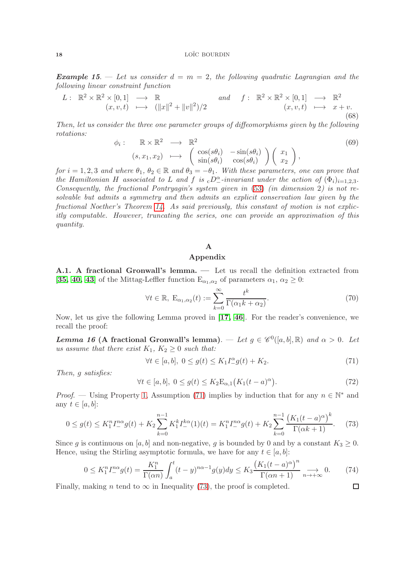**Example 15.** — Let us consider  $d = m = 2$ , the following quadratic Lagrangian and the following linear constraint function

$$
L: \mathbb{R}^2 \times \mathbb{R}^2 \times [0,1] \longrightarrow \mathbb{R} \quad and \quad f: \mathbb{R}^2 \times \mathbb{R}^2 \times [0,1] \longrightarrow \mathbb{R}^2 (x,v,t) \longmapsto (||x||^2 + ||v||^2)/2 \quad (x,v,t) \longmapsto x+v.
$$
\n(68)

Then, let us consider the three one parameter groups of diffeomorphisms given by the following rotations:

$$
\phi_i: \mathbb{R} \times \mathbb{R}^2 \longrightarrow \mathbb{R}^2
$$
\n
$$
(s, x_1, x_2) \longmapsto \begin{pmatrix} \cos(s\theta_i) & -\sin(s\theta_i) \\ \sin(s\theta_i) & \cos(s\theta_i) \end{pmatrix} \begin{pmatrix} x_1 \\ x_2 \end{pmatrix},
$$
\n(69)

for  $i = 1, 2, 3$  and where  $\theta_1, \theta_2 \in \mathbb{R}$  and  $\theta_3 = -\theta_1$ . With these parameters, one can prove that the Hamiltonian H associated to L and f is  $_cD^{\alpha}_-$ -invariant under the action of  $(\Phi_i)_{i=1,2,3}$ . Consequently, the fractional Pontryagin's system given in [\(53\)](#page-13-3) (in dimension 2) is not resolvable but admits a symmetry and then admits an explicit conservation law given by the fractional Noether's Theorem 14. As said previously, this constant of motion is not explicitly computable. However, truncating the series, one can provide an approximation of this quantity.

## A Appendix

<span id="page-17-1"></span><span id="page-17-0"></span>A.1. A fractional Gronwall's lemma. — Let us recall the definition extracted from [[35,](#page-23-7) [40,](#page-23-8) [43](#page-23-9)] of the Mittag-Leffler function  $E_{\alpha_1,\alpha_2}$  of parameters  $\alpha_1, \alpha_2 \ge 0$ :

$$
\forall t \in \mathbb{R}, \ \mathcal{E}_{\alpha_1, \alpha_2}(t) := \sum_{k=0}^{\infty} \frac{t^k}{\Gamma(\alpha_1 k + \alpha_2)}.
$$
 (70)

Now, let us give the following Lemma proved in [[17,](#page-22-23) [46](#page-23-13)]. For the reader's convenience, we recall the proof:

**Lemma 16 (A fractional Gronwall's lemma)**. — Let  $g \in \mathscr{C}^0([a, b], \mathbb{R})$  and  $\alpha > 0$ . Let us assume that there exist  $K_1, K_2 \geq 0$  such that:

<span id="page-17-2"></span>
$$
\forall t \in [a, b], \ 0 \le g(t) \le K_1 I_-^{\alpha} g(t) + K_2. \tag{71}
$$

Then, g satisfies:

$$
\forall t \in [a, b], \ 0 \le g(t) \le K_2 \mathcal{E}_{\alpha,1} \big( K_1 (t - a)^{\alpha} \big). \tag{72}
$$

*Proof.* — Using Property 1, Assumption [\(71\)](#page-17-2) implies by induction that for any  $n \in \mathbb{N}^*$  and any  $t \in [a, b]$ :

<span id="page-17-3"></span>
$$
0 \le g(t) \le K_1^n I_{-}^{n\alpha} g(t) + K_2 \sum_{k=0}^{n-1} K_1^k I_{-}^{k\alpha}(1)(t) = K_1^n I_{-}^{n\alpha} g(t) + K_2 \sum_{k=0}^{n-1} \frac{\left(K_1(t-a)^{\alpha}\right)^k}{\Gamma(\alpha k+1)}.
$$
 (73)

Since g is continuous on [a, b] and non-negative, g is bounded by 0 and by a constant  $K_3 \geq 0$ . Hence, using the Stirling asymptotic formula, we have for any  $t \in [a, b]$ :

$$
0 \le K_1^n I_{-\infty}^{n\alpha} g(t) = \frac{K_1^n}{\Gamma(\alpha n)} \int_a^t (t - y)^{n\alpha - 1} g(y) dy \le K_3 \frac{\left(K_1 (t - a)^{\alpha}\right)^n}{\Gamma(\alpha n + 1)} \underset{n \to +\infty}{\longrightarrow} 0. \tag{74}
$$
  
making *n* tend to  $\infty$  in Inequality (73), the proof is completed.

Finally, making *n* tend to  $\infty$  in Inequality [\(73\)](#page-17-3), the proof is completed.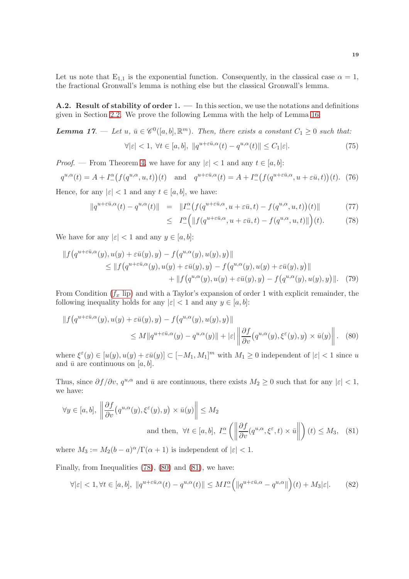Let us note that  $E_{1,1}$  is the exponential function. Consequently, in the classical case  $\alpha = 1$ , the fractional Gronwall's lemma is nothing else but the classical Gronwall's lemma.

**A.2. Result of stability of order 1.**  $\qquad$  In this section, we use the notations and definitions given in Section [2.2.](#page-6-1) We prove the following Lemma with the help of Lemma 16.

**Lemma 17.** — Let  $u, \bar{u} \in \mathscr{C}^0([a, b], \mathbb{R}^m)$ . Then, there exists a constant  $C_1 \geq 0$  such that:  $\forall |\varepsilon| < 1, \ \forall t \in [a, b], \ \|q^{u + \varepsilon \bar{u}, \alpha}(t) - q^{u, \alpha}(t)\| \leq C_1 |\varepsilon|.$ (75)

*Proof.* — From Theorem 4, we have for any  $|\varepsilon| < 1$  and any  $t \in [a, b]$ :

$$
q^{u,\alpha}(t) = A + I^{\alpha}_{-}(f(q^{u,\alpha}, u, t))(t) \quad \text{and} \quad q^{u+\varepsilon \bar{u}, \alpha}(t) = A + I^{\alpha}_{-}(f(q^{u+\varepsilon \bar{u}, \alpha}, u+\varepsilon \bar{u}, t))(t). \tag{76}
$$

Hence, for any  $|\varepsilon|$  < 1 and any  $t \in [a, b]$ , we have:

<span id="page-18-0"></span>
$$
||q^{u+\varepsilon\bar{u},\alpha}(t) - q^{u,\alpha}(t)|| = ||I_{-}^{\alpha}(f(q^{u+\varepsilon\bar{u},\alpha}, u+\varepsilon\bar{u}, t) - f(q^{u,\alpha}, u, t))(t)||
$$
(77)

<span id="page-18-2"></span><span id="page-18-1"></span>
$$
\leq I^{\alpha}_{-}\Big(\|f(q^{u+\varepsilon\bar{u},\alpha},u+\varepsilon\bar{u},t)-f(q^{u,\alpha},u,t)\|\Big)(t). \tag{78}
$$

We have for any  $|\varepsilon| < 1$  and any  $y \in [a, b]$ :

$$
||f(q^{u+\varepsilon\bar{u},\alpha}(y),u(y)+\varepsilon\bar{u}(y),y)-f(q^{u,\alpha}(y),u(y),y)||
$$
  
\n
$$
\leq ||f(q^{u+\varepsilon\bar{u},\alpha}(y),u(y)+\varepsilon\bar{u}(y),y)-f(q^{u,\alpha}(y),u(y)+\varepsilon\bar{u}(y),y)||
$$
  
\n
$$
+ ||f(q^{u,\alpha}(y),u(y)+\varepsilon\bar{u}(y),y)-f(q^{u,\alpha}(y),u(y),y)||. \tag{79}
$$

From Condition  $(f_x \text{ lip})$  and with a Taylor's expansion of order 1 with explicit remainder, the following inequality holds for any  $|\varepsilon| < 1$  and any  $y \in [a, b]$ :

$$
||f(q^{u+\varepsilon\bar{u},\alpha}(y),u(y)+\varepsilon\bar{u}(y),y)-f(q^{u,\alpha}(y),u(y),y)||
$$
  
 
$$
\leq M||q^{u+\varepsilon\bar{u},\alpha}(y)-q^{u,\alpha}(y)||+|\varepsilon| \left\|\frac{\partial f}{\partial v}(q^{u,\alpha}(y),\xi^{\varepsilon}(y),y)\times\bar{u}(y)\right\|. \quad (80)
$$

where  $\xi^{\varepsilon}(y) \in [u(y), u(y) + \varepsilon \bar{u}(y)] \subset [-M_1, M_1]^m$  with  $M_1 \geq 0$  independent of  $|\varepsilon| < 1$  since u and  $\bar{u}$  are continuous on [a, b].

Thus, since  $\partial f / \partial v$ ,  $q^{u,\alpha}$  and  $\bar{u}$  are continuous, there exists  $M_2 \geq 0$  such that for any  $|\varepsilon| < 1$ , we have:

$$
\forall y \in [a, b], \left\| \frac{\partial f}{\partial v} (q^{u, \alpha}(y), \xi^{\varepsilon}(y), y) \times \bar{u}(y) \right\| \le M_2
$$
  
and then,  $\forall t \in [a, b], I^{\alpha}_{-} \left( \left\| \frac{\partial f}{\partial v} (q^{u, \alpha}, \xi^{\varepsilon}, t) \times \bar{u} \right\| \right) (t) \le M_3$ , (81)

where  $M_3 := M_2(b-a)^{\alpha}/\Gamma(\alpha+1)$  is independent of  $|\varepsilon| < 1$ .

Finally, from Inequalities [\(78\)](#page-18-0), [\(80\)](#page-18-1) and [\(81\)](#page-18-2), we have:

$$
\forall |\varepsilon| < 1, \forall t \in [a, b], \ \|q^{u + \varepsilon \bar{u}, \alpha}(t) - q^{u, \alpha}(t)\| \le MI_-^{\alpha} \Big( \|q^{u + \varepsilon \bar{u}, \alpha} - q^{u, \alpha}\| \Big) (t) + M_3 |\varepsilon|. \tag{82}
$$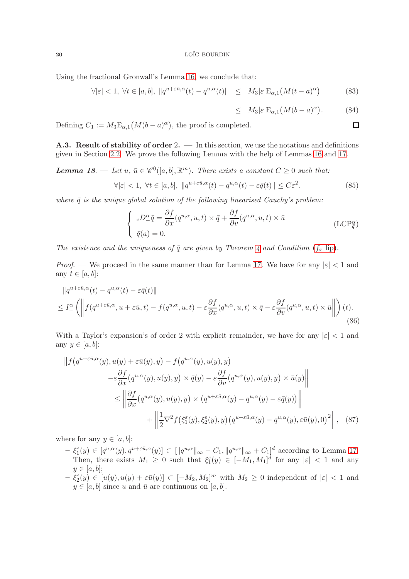Using the fractional Gronwall's Lemma 16, we conclude that:

$$
\forall |\varepsilon| < 1, \ \forall t \in [a, b], \ \|q^{u + \varepsilon \bar{u}, \alpha}(t) - q^{u, \alpha}(t)\| \leq M_3 |\varepsilon| \mathcal{E}_{\alpha, 1} \left(M(t - a)^{\alpha}\right) \tag{83}
$$

$$
\leq M_3|\varepsilon|E_{\alpha,1}(M(b-a)^{\alpha}). \tag{84}
$$

<span id="page-19-1"></span> $\Box$ 

Defining  $C_1 := M_3 \mathbb{E}_{\alpha,1}(M(b-a)^{\alpha}),$  the proof is completed.

**A.3. Result of stability of order 2.**  $\qquad$  In this section, we use the notations and definitions given in Section [2.2.](#page-6-1) We prove the following Lemma with the help of Lemmas 16 and 17.

**Lemma 18.** — Let  $u, \bar{u} \in \mathscr{C}^0([a, b], \mathbb{R}^m)$ . There exists a constant  $C \geq 0$  such that:

$$
\forall |\varepsilon| < 1, \ \forall t \in [a, b], \ \|q^{u + \varepsilon \bar{u}, \alpha}(t) - q^{u, \alpha}(t) - \varepsilon \bar{q}(t)\| \le C\varepsilon^2. \tag{85}
$$

where  $\bar{q}$  is the unique global solution of the following linearised Cauchy's problem:

$$
\begin{cases}\n cD^{\alpha}_{-}\bar{q} = \frac{\partial f}{\partial x}(q^{u,\alpha}, u, t) \times \bar{q} + \frac{\partial f}{\partial v}(q^{u,\alpha}, u, t) \times \bar{u} \\
 \bar{q}(a) = 0.\n\end{cases}
$$
\n(LCP<sub>\bar{q}</sub><sup>\alpha</sup>)

The existence and the uniqueness of  $\bar{q}$  are given by Theorem 4 and Condition  $(f_x \text{ lip})$ .

*Proof.* — We proceed in the same manner than for Lemma 17. We have for any  $|\varepsilon|$  < 1 and any  $t \in [a, b]$ :

$$
||q^{u+\varepsilon\bar{u},\alpha}(t) - q^{u,\alpha}(t) - \varepsilon\bar{q}(t)||
$$
  
\n
$$
\leq I_{-}^{\alpha} \left( \left\| f(q^{u+\varepsilon\bar{u},\alpha}, u+\varepsilon\bar{u}, t) - f(q^{u,\alpha}, u, t) - \varepsilon\frac{\partial f}{\partial x}(q^{u,\alpha}, u, t) \times \bar{q} - \varepsilon\frac{\partial f}{\partial v}(q^{u,\alpha}, u, t) \times \bar{u} \right\| \right) (t).
$$
\n(86)

With a Taylor's expansion's of order 2 with explicit remainder, we have for any  $|\varepsilon| < 1$  and any  $y \in [a, b]$ :

$$
\|f(q^{u+\varepsilon\bar{u},\alpha}(y),u(y)+\varepsilon\bar{u}(y),y) - f(q^{u,\alpha}(y),u(y),y)
$$
  

$$
-\varepsilon\frac{\partial f}{\partial x}(q^{u,\alpha}(y),u(y),y) \times \bar{q}(y) - \varepsilon\frac{\partial f}{\partial v}(q^{u,\alpha}(y),u(y),y) \times \bar{u}(y)\|
$$
  

$$
\leq \left\|\frac{\partial f}{\partial x}(q^{u,\alpha}(y),u(y),y) \times (q^{u+\varepsilon\bar{u},\alpha}(y) - q^{u,\alpha}(y) - \varepsilon\bar{q}(y))\right\|
$$
  

$$
+ \left\|\frac{1}{2}\nabla^2 f(\xi_1^{\varepsilon}(y),\xi_2^{\varepsilon}(y),y)(q^{u+\varepsilon\bar{u},\alpha}(y) - q^{u,\alpha}(y),\varepsilon\bar{u}(y),0)^2\right\|, (87)
$$

where for any  $y \in [a, b]$ :

- <span id="page-19-0"></span> $-\xi_1^{\varepsilon}(y) \in [q^{u,\alpha}(y), q^{u+\varepsilon \bar{u},\alpha}(y)] \subset [\Vert q^{u,\alpha} \Vert_{\infty} - C_1, \Vert q^{u,\alpha} \Vert_{\infty} + C_1]^d$  according to Lemma 17. Then, there exists  $M_1 \geq 0$  such that  $\xi_1^{\varepsilon}(y) \in [-M_1, M_1]^d$  for any  $|\varepsilon| < 1$  and any  $y \in [a, b];$
- $-\xi_2^{\varepsilon}(y) \in [u(y), u(y) + \varepsilon \bar{u}(y)] \subset [-M_2, M_2]^m$  with  $M_2 \geq 0$  independent of  $|\varepsilon| < 1$  and  $y \in [a, b]$  since u and  $\bar{u}$  are continuous on  $[a, b]$ .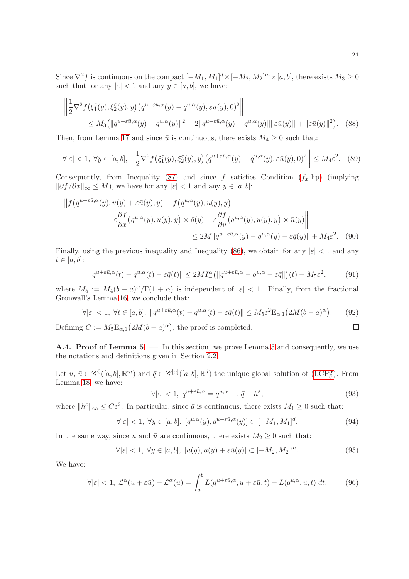Since  $\nabla^2 f$  is continuous on the compact  $[-M_1, M_1]^d \times [-M_2, M_2]^m \times [a, b]$ , there exists  $M_3 \ge 0$ such that for any  $|\varepsilon| < 1$  and any  $y \in [a, b]$ , we have:

$$
\left\| \frac{1}{2} \nabla^2 f\left(\xi_1^{\varepsilon}(y), \xi_2^{\varepsilon}(y), y\right) \left( q^{u + \varepsilon \bar{u}, \alpha}(y) - q^{u, \alpha}(y), \varepsilon \bar{u}(y), 0 \right)^2 \right\|
$$
  
\n
$$
\leq M_3 \left( \| q^{u + \varepsilon \bar{u}, \alpha}(y) - q^{u, \alpha}(y) \|^2 + 2 \| q^{u + \varepsilon \bar{u}, \alpha}(y) - q^{u, \alpha}(y) \| \| \varepsilon \bar{u}(y) \| + \| \varepsilon \bar{u}(y) \|^2 \right). \tag{88}
$$

Then, from Lemma 17 and since  $\bar{u}$  is continuous, there exists  $M_4 \geq 0$  such that:

$$
\forall |\varepsilon| < 1, \ \forall y \in [a, b], \ \left\| \frac{1}{2} \nabla^2 f(\xi_1^{\varepsilon}(y), \xi_2^{\varepsilon}(y), y) \left( q^{u + \varepsilon \bar{u}, \alpha}(y) - q^{u, \alpha}(y), \varepsilon \bar{u}(y), 0 \right)^2 \right\| \le M_4 \varepsilon^2. \tag{89}
$$

Consequently, from Inequality [\(87\)](#page-19-0) and since f satisfies Condition  $(f_x \text{ lip})$  (implying  $\|\partial f/\partial x\|_{\infty}\leq M),$  we have for any  $|\varepsilon|<1$  and any  $y\in [a,b]$ :

$$
\|f(q^{u+\varepsilon\bar{u},\alpha}(y),u(y)+\varepsilon\bar{u}(y),y) - f(q^{u,\alpha}(y),u(y),y) \n- \varepsilon \frac{\partial f}{\partial x}(q^{u,\alpha}(y),u(y),y) \times \bar{q}(y) - \varepsilon \frac{\partial f}{\partial v}(q^{u,\alpha}(y),u(y),y) \times \bar{u}(y) \| \n\le 2M \|q^{u+\varepsilon\bar{u},\alpha}(y) - q^{u,\alpha}(y) - \varepsilon\bar{q}(y)\| + M_4\varepsilon^2.
$$
 (90)

Finally, using the previous inequality and Inequality [\(86\)](#page-19-1), we obtain for any  $|\varepsilon|$  < 1 and any  $t \in [a, b]$ :

$$
||q^{u+\varepsilon\bar{u},\alpha}(t) - q^{u,\alpha}(t) - \varepsilon\bar{q}(t)|| \le 2MI_{-}^{\alpha} (||q^{u+\varepsilon\bar{u},\alpha} - q^{u,\alpha} - \varepsilon\bar{q}||)(t) + M_5\varepsilon^2, \tag{91}
$$

where  $M_5 := M_4(b-a)^{\alpha}/\Gamma(1+\alpha)$  is independent of  $|\varepsilon| < 1$ . Finally, from the fractional Gronwall's Lemma 16, we conclude that:

$$
\forall |\varepsilon| < 1, \ \forall t \in [a, b], \ \|q^{u + \varepsilon \bar{u}, \alpha}(t) - q^{u, \alpha}(t) - \varepsilon \bar{q}(t)\| \le M_5 \varepsilon^2 \mathcal{E}_{\alpha, 1} \big(2M(b - a)^{\alpha}\big). \tag{92}
$$

Defining  $C := M_5 \mathbb{E}_{\alpha,1} \left( 2M(b-a)^{\alpha} \right)$ , the proof is completed.

<span id="page-20-0"></span>A.4. Proof of Lemma 5. — In this section, we prove Lemma 5 and consequently, we use the notations and definitions given in Section [2.2.](#page-6-1)

Let  $u, \bar{u} \in \mathscr{C}^0([a, b], \mathbb{R}^m)$  and  $\bar{q} \in \mathscr{C}^{[\alpha]}([a, b], \mathbb{R}^d)$  the unique global solution of  $(LCP_{\bar{q}}^{\alpha})$ . From Lemma 18, we have:

$$
\forall |\varepsilon| < 1, \ q^{u + \varepsilon \bar{u}, \alpha} = q^{u, \alpha} + \varepsilon \bar{q} + h^{\varepsilon}, \tag{93}
$$

where  $||h^{\varepsilon}||_{\infty} \leq C\varepsilon^2$ . In particular, since  $\bar{q}$  is continuous, there exists  $M_1 \geq 0$  such that:

$$
\forall |\varepsilon| < 1, \ \forall y \in [a, b], \ [q^{u, \alpha}(y), q^{u + \varepsilon \bar{u}, \alpha}(y)] \subset [-M_1, M_1]^d. \tag{94}
$$

In the same way, since u and  $\bar{u}$  are continuous, there exists  $M_2 \geq 0$  such that:

$$
\forall |\varepsilon| < 1, \ \forall y \in [a, b], \ [u(y), u(y) + \varepsilon \bar{u}(y)] \subset [-M_2, M_2]^m. \tag{95}
$$

We have:

$$
\forall |\varepsilon| < 1, \ \mathcal{L}^{\alpha}(u + \varepsilon \bar{u}) - \mathcal{L}^{\alpha}(u) = \int_{a}^{b} L(q^{u + \varepsilon \bar{u}, \alpha}, u + \varepsilon \bar{u}, t) - L(q^{u, \alpha}, u, t) \ dt. \tag{96}
$$

 $\Box$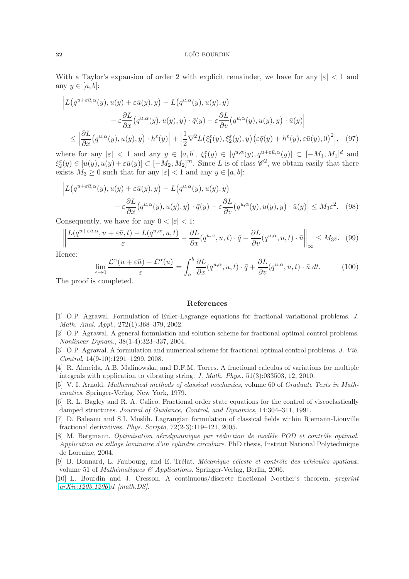With a Taylor's expansion of order 2 with explicit remainder, we have for any  $|\varepsilon|$  < 1 and any  $y \in [a, b]$ :

$$
\left| L(q^{u+\varepsilon\bar{u},\alpha}(y),u(y)+\varepsilon\bar{u}(y),y) - L(q^{u,\alpha}(y),u(y),y) \right|
$$
  

$$
-\varepsilon\frac{\partial L}{\partial x}(q^{u,\alpha}(y),u(y),y)\cdot\bar{q}(y)-\varepsilon\frac{\partial L}{\partial v}(q^{u,\alpha}(y),u(y),y)\cdot\bar{u}(y) \right|
$$
  

$$
\leq \left| \frac{\partial L}{\partial x}(q^{u,\alpha}(y),u(y),y)\cdot h^{\varepsilon}(y) \right| + \left| \frac{1}{2}\nabla^{2}L(\xi_{1}^{\varepsilon}(y),\xi_{2}^{\varepsilon}(y),y)(\varepsilon\bar{q}(y)+h^{\varepsilon}(y),\varepsilon\bar{u}(y),0)^{2} \right|, (97)
$$

where for any  $|\varepsilon| < 1$  and any  $y \in [a, b]$ ,  $\xi_1^{\varepsilon}(y) \in [q^{u,\alpha}(y), q^{u+\varepsilon\bar{u}, \alpha}(y)] \subset [-M_1, M_1]^d$  and  $\xi_2^{\varepsilon}(y) \in [u(y), u(y) + \varepsilon \bar{u}(y)] \subset [-M_2, M_2]^m$ . Since L is of class  $\mathscr{C}^2$ , we obtain easily that there exists  $M_3 \geq 0$  such that for any  $|\varepsilon| < 1$  and any  $y \in [a, b]$ :

$$
\left| L(q^{u+\varepsilon \bar{u},\alpha}(y), u(y) + \varepsilon \bar{u}(y), y) - L(q^{u,\alpha}(y), u(y), y) \right|
$$
  

$$
- \varepsilon \frac{\partial L}{\partial x}(q^{u,\alpha}(y), u(y), y) \cdot \bar{q}(y) - \varepsilon \frac{\partial L}{\partial v}(q^{u,\alpha}(y), u(y), y) \cdot \bar{u}(y) \right| \le M_3 \varepsilon^2. \quad (98)
$$

Consequently, we have for any  $0 < |\varepsilon| < 1$ :

$$
\left\| \frac{L(q^{u+\varepsilon\bar{u},\alpha}, u+\varepsilon\bar{u}, t) - L(q^{u,\alpha}, u, t)}{\varepsilon} - \frac{\partial L}{\partial x}(q^{u,\alpha}, u, t) \cdot \bar{q} - \frac{\partial L}{\partial v}(q^{u,\alpha}, u, t) \cdot \bar{u} \right\|_{\infty} \le M_3 \varepsilon. \tag{99}
$$

Hence:

$$
\lim_{\varepsilon \to 0} \frac{\mathcal{L}^{\alpha}(u + \varepsilon \bar{u}) - \mathcal{L}^{\alpha}(u)}{\varepsilon} = \int_{a}^{b} \frac{\partial L}{\partial x}(q^{u,\alpha}, u, t) \cdot \bar{q} + \frac{\partial L}{\partial v}(q^{u,\alpha}, u, t) \cdot \bar{u} dt.
$$
 (100)

The proof is completed.

## References

- <span id="page-21-6"></span>[1] O.P. Agrawal. Formulation of Euler-Lagrange equations for fractional variational problems. J. Math. Anal. Appl., 272(1):368–379, 2002.
- <span id="page-21-0"></span>[2] O.P. Agrawal. A general formulation and solution scheme for fractional optimal control problems. Nonlinear Dynam., 38(1-4):323–337, 2004.
- <span id="page-21-1"></span>[3] O.P. Agrawal. A formulation and numerical scheme for fractional optimal control problems. J. Vib. Control, 14(9-10):1291–1299, 2008.
- <span id="page-21-4"></span>[4] R. Almeida, A.B. Malinowska, and D.F.M. Torres. A fractional calculus of variations for multiple integrals with application to vibrating string. J. Math. Phys., 51(3):033503, 12, 2010.
- <span id="page-21-2"></span>[5] V. I. Arnold. Mathematical methods of classical mechanics, volume 60 of Graduate Texts in Mathematics. Springer-Verlag, New York, 1979.
- <span id="page-21-5"></span>[6] R. L. Bagley and R. A. Calico. Fractional order state equations for the control of viscoelastically damped structures. Journal of Guidance, Control, and Dynamics, 14:304–311, 1991.
- <span id="page-21-7"></span>[7] D. Baleanu and S.I. Muslih. Lagrangian formulation of classical fields within Riemann-Liouville fractional derivatives. Phys. Scripta, 72(2-3):119–121, 2005.
- <span id="page-21-9"></span>[8] M. Bergmann. Optimisation aérodynamique par réduction de modèle POD et contrôle optimal. Application au sillage laminaire d'un cylindre circulaire. PhD thesis, Institut National Polytechnique de Lorraine, 2004.
- <span id="page-21-3"></span>[9] B. Bonnard, L. Faubourg, and E. Trélat. Mécanique céleste et contrôle des véhicules spatiaux, volume 51 of Mathématiques & Applications. Springer-Verlag, Berlin, 2006.
- <span id="page-21-8"></span>[10] L. Bourdin and J. Cresson. A continuous/discrete fractional Noether's theorem. preprint [arXiv:1203.1206v](http://arxiv.org/abs/1203.1206)1 [math.DS].

 $\overline{a}$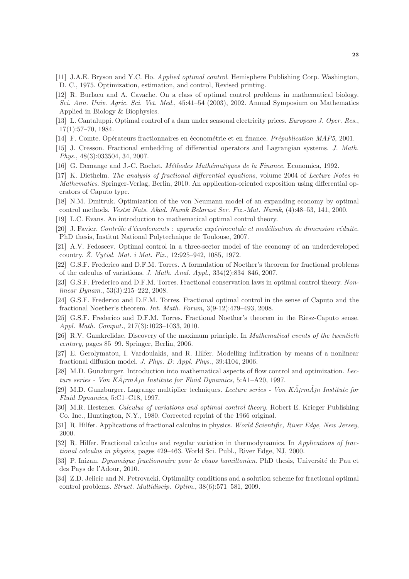- <span id="page-22-9"></span>[11] J.A.E. Bryson and Y.C. Ho. Applied optimal control. Hemisphere Publishing Corp. Washington, D. C., 1975. Optimization, estimation, and control, Revised printing.
- <span id="page-22-4"></span>[12] R. Burlacu and A. Cavache. On a class of optimal control problems in mathematical biology. Sci. Ann. Univ. Agric. Sci. Vet. Med., 45:41–54 (2003), 2002. Annual Symposium on Mathematics Applied in Biology & Biophysics.
- <span id="page-22-5"></span>[13] L. Cantaluppi. Optimal control of a dam under seasonal electricity prices. European J. Oper. Res., 17(1):57–70, 1984.
- <span id="page-22-20"></span><span id="page-22-12"></span>[14] F. Comte. Opérateurs fractionnaires en économétrie et en finance. *Prépublication MAP5*, 2001.
- [15] J. Cresson. Fractional embedding of differential operators and Lagrangian systems. J. Math. Phys., 48(3):033504, 34, 2007.
- <span id="page-22-23"></span><span id="page-22-6"></span>[16] G. Demange and J.-C. Rochet. *Méthodes Mathématiques de la Finance*. Economica, 1992.
- [17] K. Diethelm. The analysis of fractional differential equations, volume 2004 of Lecture Notes in Mathematics. Springer-Verlag, Berlin, 2010. An application-oriented exposition using differential operators of Caputo type.
- <span id="page-22-7"></span>[18] N.M. Dmitruk. Optimization of the von Neumann model of an expanding economy by optimal control methods. *Vestsī Nats. Akad. Navuk Belarusī Ser. Fīz.-Mat. Navuk*, (4):48–53, 141, 2000.
- <span id="page-22-17"></span><span id="page-22-10"></span>[19] L.C. Evans. An introduction to mathematical optimal control theory.
- [20] J. Favier. Contrôle d'écoulements : approche expérimentale et modélisation de dimension réduite. PhD thesis, Institut National Polytechnique de Toulouse, 2007.
- <span id="page-22-8"></span>[21] A.V. Fedoseev. Optimal control in a three-sector model of the economy of an underdeveloped country.  $\dot{Z}$ . Vyčisl. Mat. i Mat. Fiz., 12:925–942, 1085, 1972.
- <span id="page-22-21"></span>[22] G.S.F. Frederico and D.F.M. Torres. A formulation of Noether's theorem for fractional problems of the calculus of variations. J. Math. Anal. Appl., 334(2):834–846, 2007.
- <span id="page-22-0"></span>[23] G.S.F. Frederico and D.F.M. Torres. Fractional conservation laws in optimal control theory. Nonlinear Dynam., 53(3):215–222, 2008.
- <span id="page-22-1"></span>[24] G.S.F. Frederico and D.F.M. Torres. Fractional optimal control in the sense of Caputo and the fractional Noether's theorem. Int. Math. Forum, 3(9-12):479–493, 2008.
- <span id="page-22-22"></span>[25] G.S.F. Frederico and D.F.M. Torres. Fractional Noether's theorem in the Riesz-Caputo sense. Appl. Math. Comput., 217(3):1023–1033, 2010.
- <span id="page-22-3"></span>[26] R.V. Gamkrelidze. Discovery of the maximum principle. In Mathematical events of the twentieth century, pages 85–99. Springer, Berlin, 2006.
- <span id="page-22-15"></span>[27] E. Gerolymatou, I. Vardoulakis, and R. Hilfer. Modelling infiltration by means of a nonlinear fractional diffusion model. J. Phys. D: Appl. Phys., 39:4104, 2006.
- <span id="page-22-18"></span>[28] M.D. Gunzburger. Introduction into mathematical aspects of flow control and optimization. Lecture series - Von  $K\ddot{A}$ <sub>i</sub> $r$ m $\ddot{A}$ <sub>i</sub>n Institute for Fluid Dynamics, 5:A1–A20, 1997.
- <span id="page-22-19"></span>[29] M.D. Gunzburger. Lagrange multiplier techniques. Lecture series - Von  $K\tilde{A}$ <sub>i</sub> $r\tilde{A}$ <sub>i</sub>n Institute for Fluid Dynamics, 5:C1–C18, 1997.
- <span id="page-22-11"></span>[30] M.R. Hestenes. Calculus of variations and optimal control theory. Robert E. Krieger Publishing Co. Inc., Huntington, N.Y., 1980. Corrected reprint of the 1966 original.
- <span id="page-22-13"></span>[31] R. Hilfer. Applications of fractional calculus in physics. World Scientific, River Edge, New Jersey, 2000.
- <span id="page-22-14"></span>[32] R. Hilfer. Fractional calculus and regular variation in thermodynamics. In Applications of fractional calculus in physics, pages 429–463. World Sci. Publ., River Edge, NJ, 2000.
- <span id="page-22-16"></span>[33] P. Inizan. Dynamique fractionnaire pour le chaos hamiltonien. PhD thesis, Université de Pau et des Pays de l'Adour, 2010.
- <span id="page-22-2"></span>[34] Z.D. Jelicic and N. Petrovacki. Optimality conditions and a solution scheme for fractional optimal control problems. Struct. Multidiscip. Optim., 38(6):571–581, 2009.